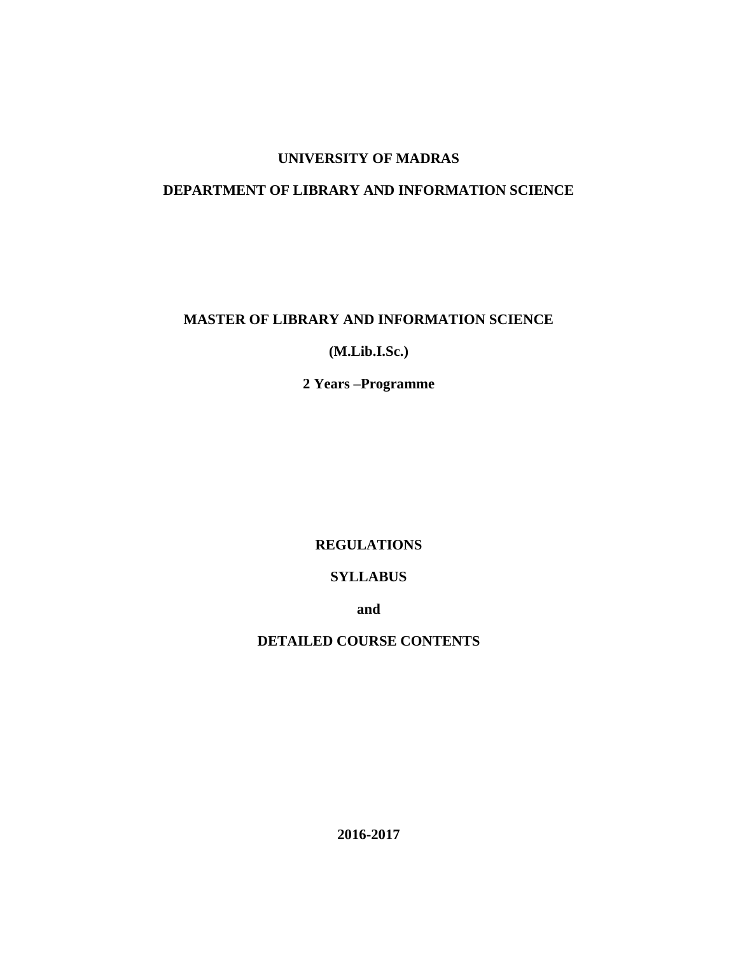# **UNIVERSITY OF MADRAS**

# **DEPARTMENT OF LIBRARY AND INFORMATION SCIENCE**

# **MASTER OF LIBRARY AND INFORMATION SCIENCE**

# **(M.Lib.I.Sc.)**

# **2 Years –Programme**

# **REGULATIONS**

# **SYLLABUS**

**and**

# **DETAILED COURSE CONTENTS**

**2016-2017**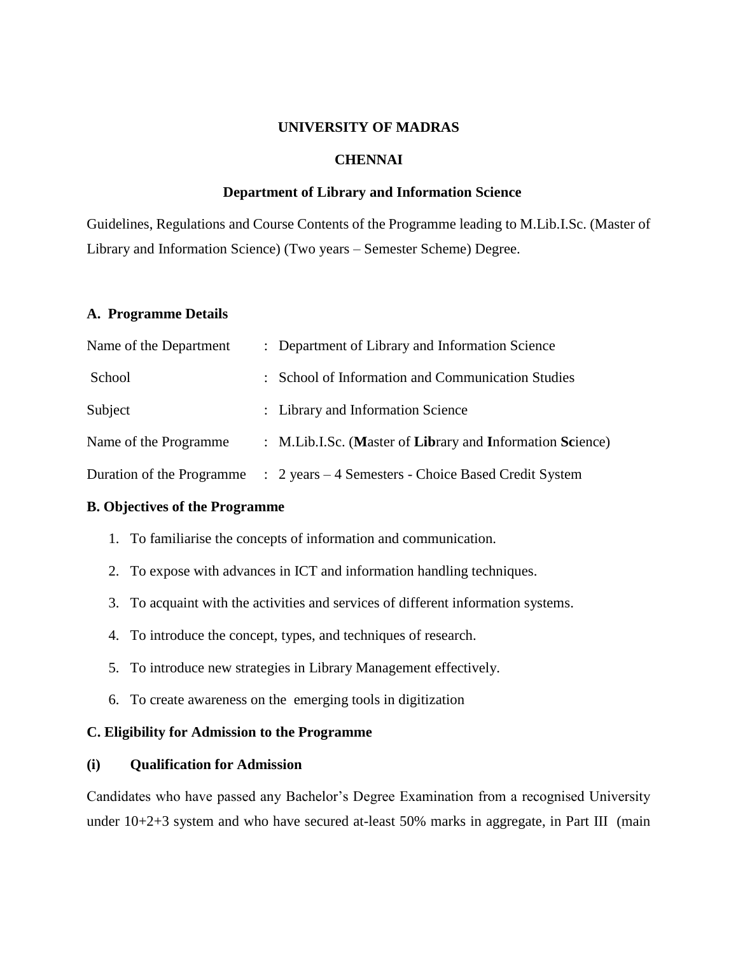# **UNIVERSITY OF MADRAS**

# **CHENNAI**

# **Department of Library and Information Science**

Guidelines, Regulations and Course Contents of the Programme leading to M.Lib.I.Sc. (Master of Library and Information Science) (Two years – Semester Scheme) Degree.

# **A. Programme Details**

| Name of the Department    | : Department of Library and Information Science           |
|---------------------------|-----------------------------------------------------------|
| School                    | : School of Information and Communication Studies         |
| Subject                   | : Library and Information Science                         |
| Name of the Programme     | : M.Lib.I.Sc. (Master of Library and Information Science) |
| Duration of the Programme | : 2 years – 4 Semesters - Choice Based Credit System      |

## **B. Objectives of the Programme**

- 1. To familiarise the concepts of information and communication.
- 2. To expose with advances in ICT and information handling techniques.
- 3. To acquaint with the activities and services of different information systems.
- 4. To introduce the concept, types, and techniques of research.
- 5. To introduce new strategies in Library Management effectively.
- 6. To create awareness on the emerging tools in digitization

# **C. Eligibility for Admission to the Programme**

# **(i) Qualification for Admission**

Candidates who have passed any Bachelor's Degree Examination from a recognised University under  $10+2+3$  system and who have secured at-least 50% marks in aggregate, in Part III (main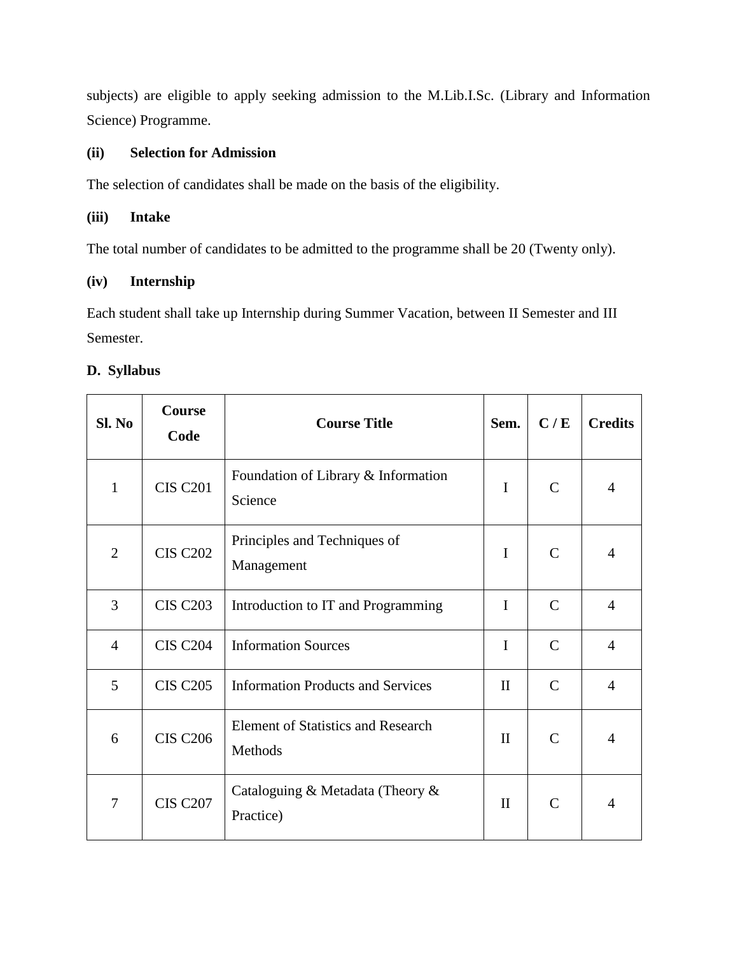subjects) are eligible to apply seeking admission to the M.Lib.I.Sc. (Library and Information Science) Programme.

# **(ii) Selection for Admission**

The selection of candidates shall be made on the basis of the eligibility.

# **(iii) Intake**

The total number of candidates to be admitted to the programme shall be 20 (Twenty only).

# **(iv) Internship**

Each student shall take up Internship during Summer Vacation, between II Semester and III Semester.

# **D. Syllabus**

| Sl. No         | <b>Course</b><br>Code | <b>Course Title</b>                                  |              | C/E           | <b>Credits</b> |
|----------------|-----------------------|------------------------------------------------------|--------------|---------------|----------------|
| $\mathbf{1}$   | <b>CIS C201</b>       | Foundation of Library & Information<br>Science       | I            | $\mathcal{C}$ | 4              |
| $\overline{2}$ | <b>CIS C202</b>       | Principles and Techniques of<br>Management           | $\mathbf I$  | $\mathcal{C}$ | $\overline{4}$ |
| 3              | <b>CIS C203</b>       | Introduction to IT and Programming                   | I            | $\mathcal{C}$ | $\overline{4}$ |
| $\overline{4}$ | <b>CIS C204</b>       | <b>Information Sources</b>                           | $\mathbf I$  | $\mathcal{C}$ | $\overline{4}$ |
| 5              | <b>CIS C205</b>       | <b>Information Products and Services</b>             | $\mathbf{I}$ | $\mathcal{C}$ | $\overline{4}$ |
| 6              | <b>CIS C206</b>       | <b>Element of Statistics and Research</b><br>Methods | $\mathbf{I}$ | $\mathcal{C}$ | $\overline{4}$ |
| 7              | <b>CIS C207</b>       | Cataloguing & Metadata (Theory &<br>Practice)        | $\mathbf{I}$ | $\mathcal{C}$ | $\overline{4}$ |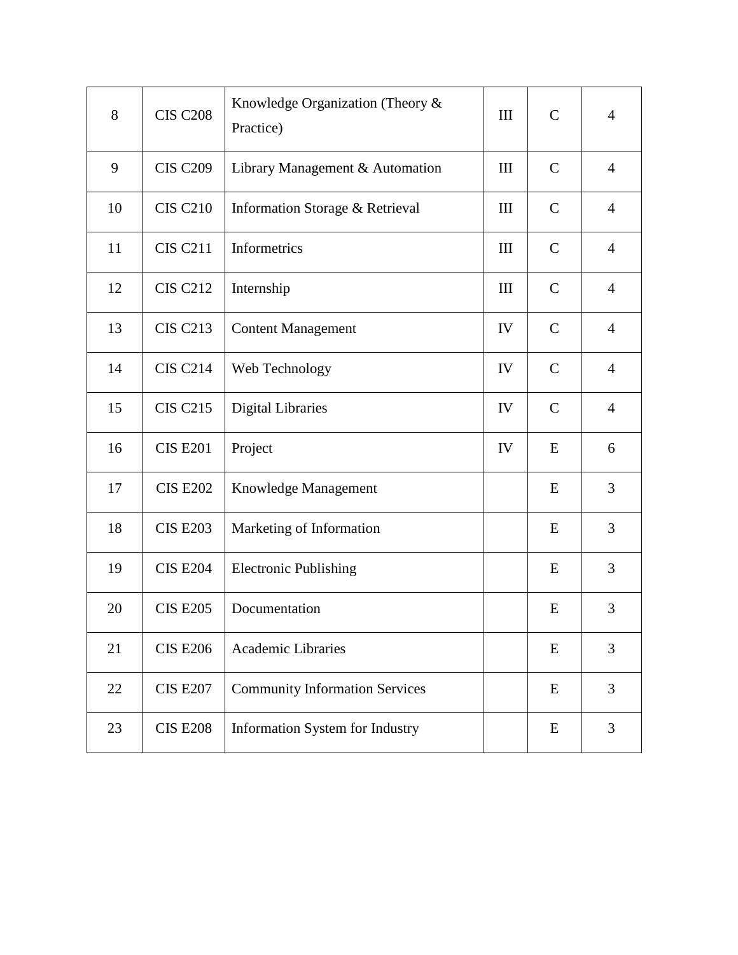| 8  | <b>CIS C208</b> | Knowledge Organization (Theory &<br>Practice) | III                | $\mathcal{C}$ | $\overline{4}$ |
|----|-----------------|-----------------------------------------------|--------------------|---------------|----------------|
| 9  | <b>CIS C209</b> | Library Management & Automation               | III                | $\mathbf C$   | $\overline{4}$ |
| 10 | <b>CIS C210</b> | Information Storage & Retrieval               | III                | $\mathbf C$   | $\overline{4}$ |
| 11 | <b>CIS C211</b> | Informetrics                                  | $\mathop{\rm III}$ | $\mathbf C$   | $\overline{4}$ |
| 12 | <b>CIS C212</b> | Internship                                    | III                | $\mathbf C$   | $\overline{4}$ |
| 13 | <b>CIS C213</b> | <b>Content Management</b>                     | IV                 | $\mathsf{C}$  | $\overline{4}$ |
| 14 | <b>CIS C214</b> | Web Technology                                | IV                 | $\mathbf C$   | $\overline{4}$ |
| 15 | <b>CIS C215</b> | <b>Digital Libraries</b>                      | IV                 | $\mathsf{C}$  | $\overline{4}$ |
| 16 | <b>CIS E201</b> | Project                                       | IV                 | E             | 6              |
| 17 | <b>CIS E202</b> | Knowledge Management                          |                    | E             | 3              |
| 18 | <b>CIS E203</b> | Marketing of Information                      |                    | E             | 3              |
| 19 | <b>CIS E204</b> | <b>Electronic Publishing</b>                  |                    | E             | 3              |
| 20 | <b>CIS E205</b> | Documentation                                 |                    | E             | 3              |
| 21 | <b>CIS E206</b> | <b>Academic Libraries</b>                     |                    | E             | 3              |
| 22 | <b>CIS E207</b> | <b>Community Information Services</b>         |                    | E             | 3              |
| 23 | <b>CIS E208</b> | Information System for Industry               |                    | E             | 3              |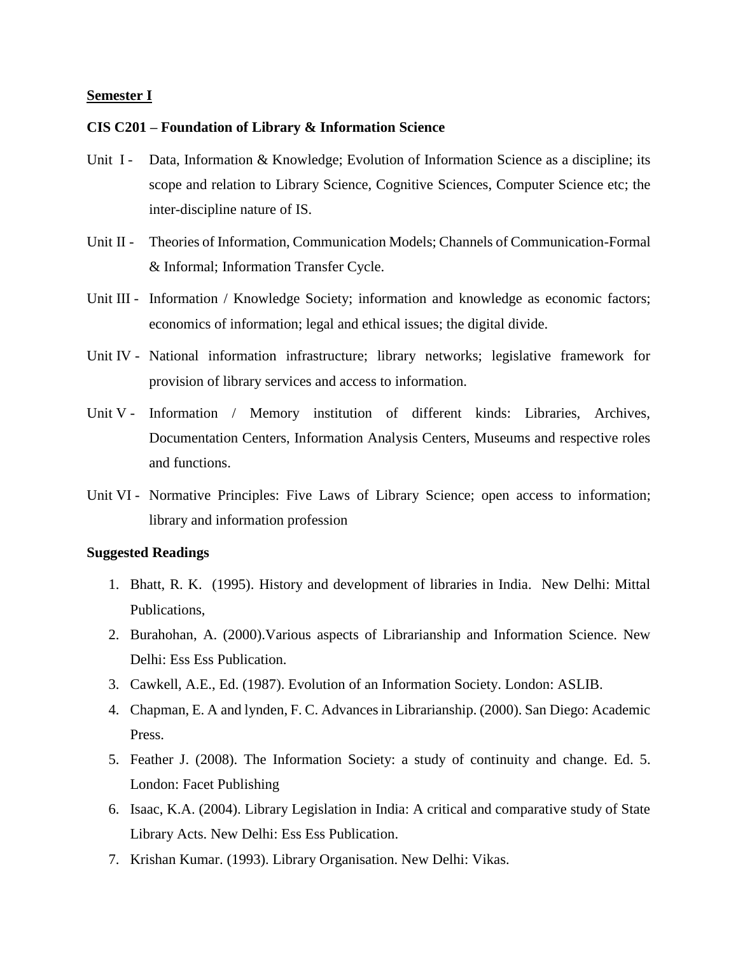# **Semester I**

#### **CIS C201 – Foundation of Library & Information Science**

- Unit I Data, Information & Knowledge; Evolution of Information Science as a discipline; its scope and relation to Library Science, Cognitive Sciences, Computer Science etc; the inter-discipline nature of IS.
- Unit II Theories of Information, Communication Models; Channels of Communication-Formal & Informal; Information Transfer Cycle.
- Unit III Information / Knowledge Society; information and knowledge as economic factors; economics of information; legal and ethical issues; the digital divide.
- Unit IV National information infrastructure; library networks; legislative framework for provision of library services and access to information.
- Unit V Information / Memory institution of different kinds: Libraries, Archives, Documentation Centers, Information Analysis Centers, Museums and respective roles and functions.
- Unit VI Normative Principles: Five Laws of Library Science; open access to information; library and information profession

- 1. Bhatt, R. K. (1995). History and development of libraries in India. New Delhi: Mittal Publications,
- 2. Burahohan, A. (2000).Various aspects of Librarianship and Information Science. New Delhi: Ess Ess Publication.
- 3. Cawkell, A.E., Ed. (1987). Evolution of an Information Society. London: ASLIB.
- 4. Chapman, E. A and lynden, F. C. Advances in Librarianship. (2000). San Diego: Academic Press.
- 5. Feather J. (2008). The Information Society: a study of continuity and change. Ed. 5. London: Facet Publishing
- 6. Isaac, K.A. (2004). Library Legislation in India: A critical and comparative study of State Library Acts. New Delhi: Ess Ess Publication.
- 7. Krishan Kumar. (1993). Library Organisation. New Delhi: Vikas.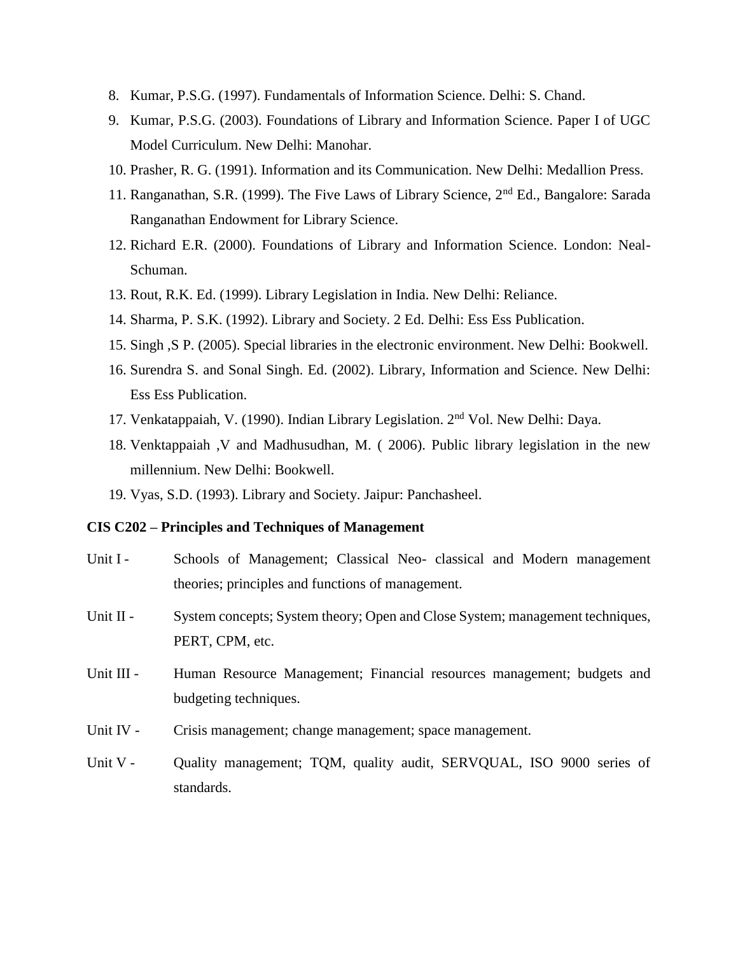- 8. Kumar, P.S.G. (1997). Fundamentals of Information Science. Delhi: S. Chand.
- 9. Kumar, P.S.G. (2003). Foundations of Library and Information Science. Paper I of UGC Model Curriculum. New Delhi: Manohar.
- 10. Prasher, R. G. (1991). Information and its Communication. New Delhi: Medallion Press.
- 11. Ranganathan, S.R. (1999). The Five Laws of Library Science, 2nd Ed., Bangalore: Sarada Ranganathan Endowment for Library Science.
- 12. Richard E.R. (2000). Foundations of Library and Information Science. London: Neal-Schuman.
- 13. Rout, R.K. Ed. (1999). Library Legislation in India. New Delhi: Reliance.
- 14. Sharma, P. S.K. (1992). Library and Society. 2 Ed. Delhi: Ess Ess Publication.
- 15. Singh ,S P. (2005). Special libraries in the electronic environment. New Delhi: Bookwell.
- 16. Surendra S. and Sonal Singh. Ed. (2002). Library, Information and Science. New Delhi: Ess Ess Publication.
- 17. Venkatappaiah, V. (1990). Indian Library Legislation. 2nd Vol. New Delhi: Daya.
- 18. Venktappaiah ,V and Madhusudhan, M. ( 2006). Public library legislation in the new millennium. New Delhi: Bookwell.
- 19. Vyas, S.D. (1993). Library and Society. Jaipur: Panchasheel.

### **CIS C202 – Principles and Techniques of Management**

- Unit I Schools of Management; Classical Neo- classical and Modern management theories; principles and functions of management.
- Unit II System concepts; System theory; Open and Close System; management techniques, PERT, CPM, etc.
- Unit III Human Resource Management; Financial resources management; budgets and budgeting techniques.
- Unit IV Crisis management; change management; space management.
- Unit V Quality management; TQM, quality audit, SERVQUAL, ISO 9000 series of standards.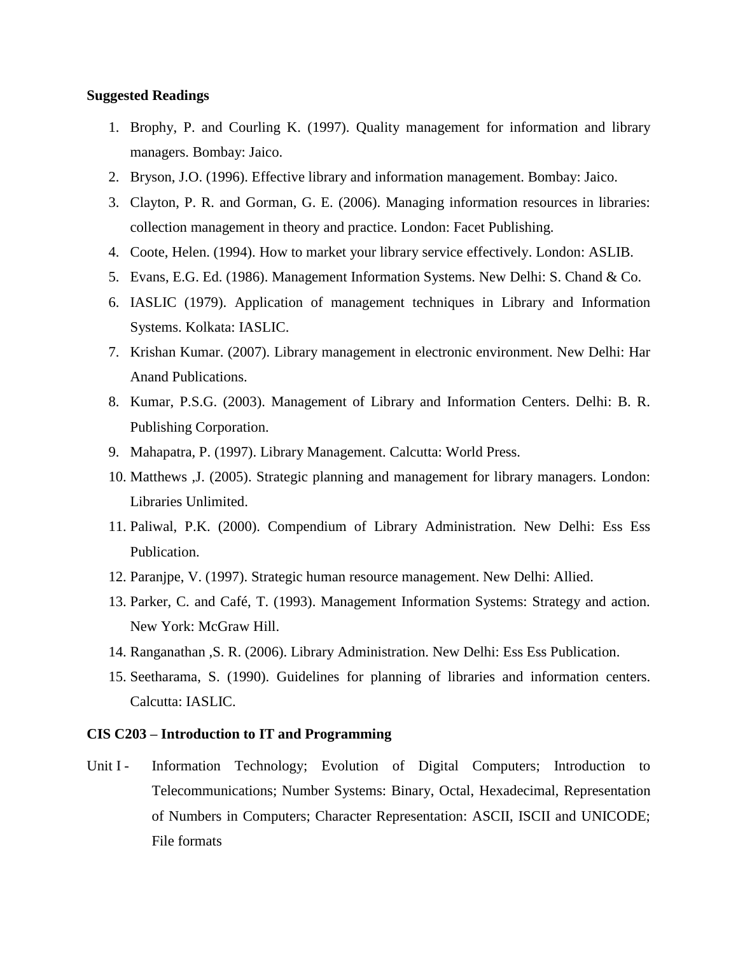# **Suggested Readings**

- 1. Brophy, P. and Courling K. (1997). Quality management for information and library managers. Bombay: Jaico.
- 2. Bryson, J.O. (1996). Effective library and information management. Bombay: Jaico.
- 3. Clayton, P. R. and Gorman, G. E. (2006). Managing information resources in libraries: collection management in theory and practice. London: Facet Publishing.
- 4. Coote, Helen. (1994). How to market your library service effectively. London: ASLIB.
- 5. Evans, E.G. Ed. (1986). Management Information Systems. New Delhi: S. Chand & Co.
- 6. IASLIC (1979). Application of management techniques in Library and Information Systems. Kolkata: IASLIC.
- 7. Krishan Kumar. (2007). Library management in electronic environment. New Delhi: Har Anand Publications.
- 8. Kumar, P.S.G. (2003). Management of Library and Information Centers. Delhi: B. R. Publishing Corporation.
- 9. Mahapatra, P. (1997). Library Management. Calcutta: World Press.
- 10. Matthews ,J. (2005). Strategic planning and management for library managers. London: Libraries Unlimited.
- 11. Paliwal, P.K. (2000). Compendium of Library Administration. New Delhi: Ess Ess Publication.
- 12. Paranjpe, V. (1997). Strategic human resource management. New Delhi: Allied.
- 13. Parker, C. and Café, T. (1993). Management Information Systems: Strategy and action. New York: McGraw Hill.
- 14. Ranganathan ,S. R. (2006). Library Administration. New Delhi: Ess Ess Publication.
- 15. Seetharama, S. (1990). Guidelines for planning of libraries and information centers. Calcutta: IASLIC.

# **CIS C203 – Introduction to IT and Programming**

Unit I - Information Technology; Evolution of Digital Computers; Introduction to Telecommunications; Number Systems: Binary, Octal, Hexadecimal, Representation of Numbers in Computers; Character Representation: ASCII, ISCII and UNICODE; File formats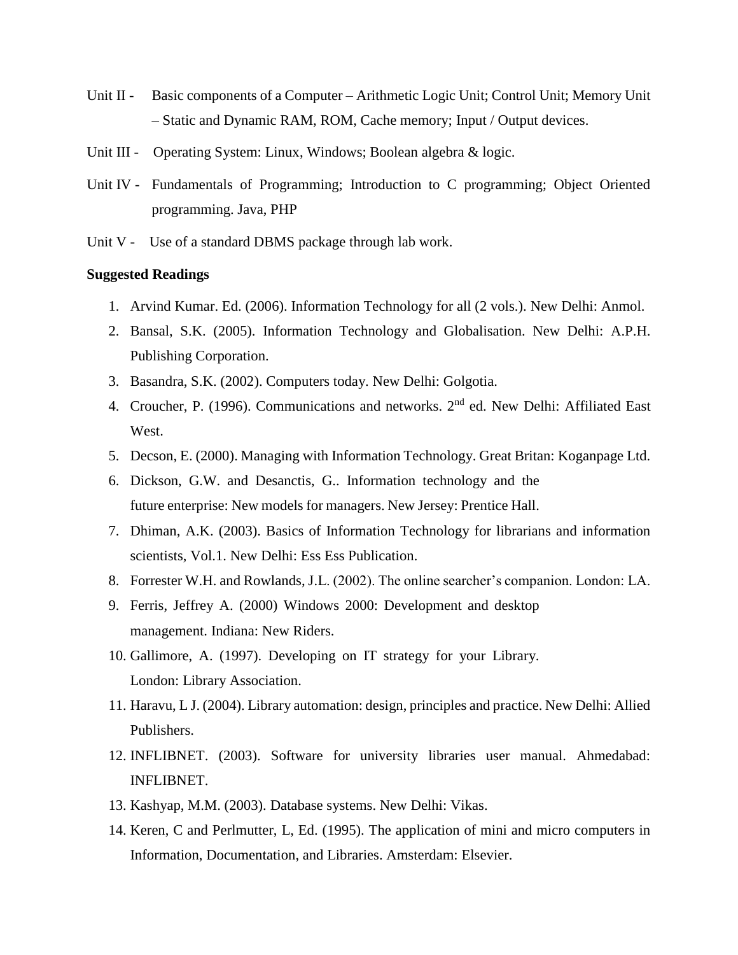- Unit II Basic components of a Computer Arithmetic Logic Unit; Control Unit; Memory Unit – Static and Dynamic RAM, ROM, Cache memory; Input / Output devices.
- Unit III Operating System: Linux, Windows; Boolean algebra & logic.
- Unit IV Fundamentals of Programming; Introduction to C programming; Object Oriented programming. Java, PHP
- Unit V Use of a standard DBMS package through lab work.

- 1. Arvind Kumar. Ed. (2006). Information Technology for all (2 vols.). New Delhi: Anmol.
- 2. Bansal, S.K. (2005). Information Technology and Globalisation. New Delhi: A.P.H. Publishing Corporation.
- 3. Basandra, S.K. (2002). Computers today. New Delhi: Golgotia.
- 4. Croucher, P. (1996). Communications and networks. 2<sup>nd</sup> ed. New Delhi: Affiliated East West.
- 5. Decson, E. (2000). Managing with Information Technology. Great Britan: Koganpage Ltd.
- 6. Dickson, G.W. and Desanctis, G.. Information technology and the future enterprise: New models for managers. New Jersey: Prentice Hall.
- 7. Dhiman, A.K. (2003). Basics of Information Technology for librarians and information scientists, Vol.1. New Delhi: Ess Ess Publication.
- 8. Forrester W.H. and Rowlands, J.L. (2002). The online searcher's companion. London: LA.
- 9. Ferris, Jeffrey A. (2000) Windows 2000: Development and desktop management. Indiana: New Riders.
- 10. Gallimore, A. (1997). Developing on IT strategy for your Library. London: Library Association.
- 11. Haravu, L J. (2004). Library automation: design, principles and practice. New Delhi: Allied Publishers.
- 12. INFLIBNET. (2003). Software for university libraries user manual. Ahmedabad: INFLIBNET.
- 13. Kashyap, M.M. (2003). Database systems. New Delhi: Vikas.
- 14. Keren, C and Perlmutter, L, Ed. (1995). The application of mini and micro computers in Information, Documentation, and Libraries. Amsterdam: Elsevier.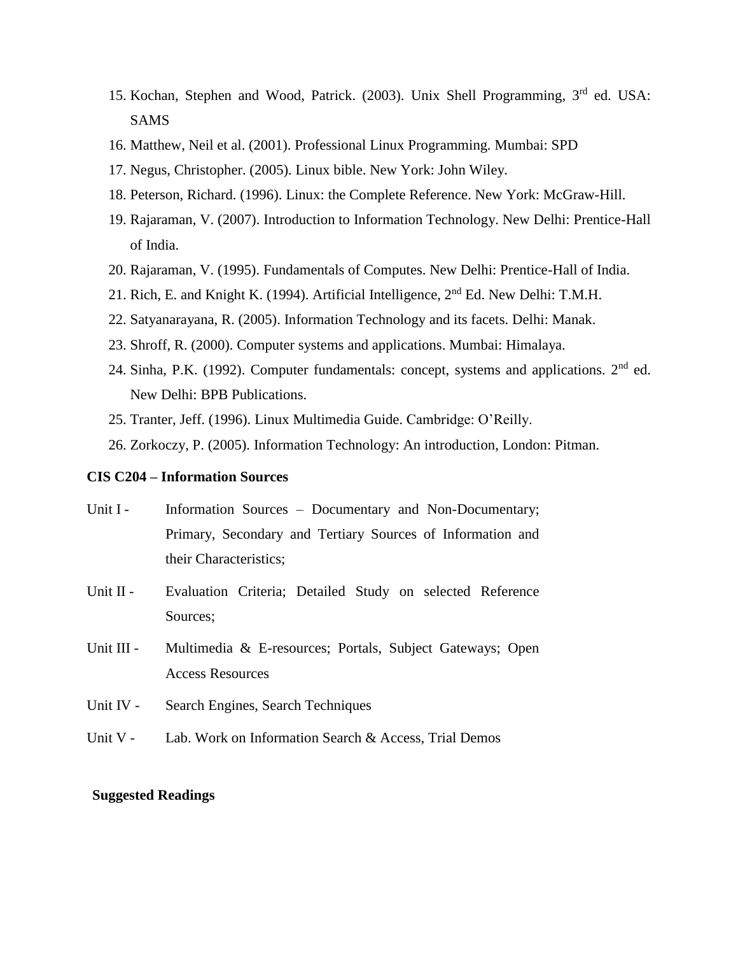- 15. Kochan, Stephen and Wood, Patrick. (2003). Unix Shell Programming, 3rd ed. USA: SAMS
- 16. Matthew, Neil et al. (2001). Professional Linux Programming*.* Mumbai: SPD
- 17. Negus, Christopher. (2005). Linux bible. New York: John Wiley.
- 18. Peterson, Richard. (1996). Linux: the Complete Reference. New York: McGraw-Hill.
- 19. Rajaraman, V. (2007). Introduction to Information Technology. New Delhi: Prentice-Hall of India.
- 20. Rajaraman, V. (1995). Fundamentals of Computes. New Delhi: Prentice-Hall of India.
- 21. Rich, E. and Knight K. (1994). Artificial Intelligence, 2nd Ed. New Delhi: T.M.H.
- 22. Satyanarayana, R. (2005). Information Technology and its facets. Delhi: Manak.
- 23. Shroff, R. (2000). Computer systems and applications. Mumbai: Himalaya.
- 24. Sinha, P.K. (1992). Computer fundamentals: concept, systems and applications. 2<sup>nd</sup> ed. New Delhi: BPB Publications.
- 25. Tranter, Jeff. (1996). Linux Multimedia Guide. Cambridge: O'Reilly.
- 26. Zorkoczy, P. (2005). Information Technology: An introduction, London: Pitman.

# **CIS C204 – Information Sources**

- Unit I Information Sources Documentary and Non-Documentary; Primary, Secondary and Tertiary Sources of Information and their Characteristics;
- Unit II Evaluation Criteria; Detailed Study on selected Reference Sources;
- Unit III Multimedia & E-resources; Portals, Subject Gateways; Open Access Resources
- Unit IV Search Engines, Search Techniques
- Unit V Lab. Work on Information Search & Access, Trial Demos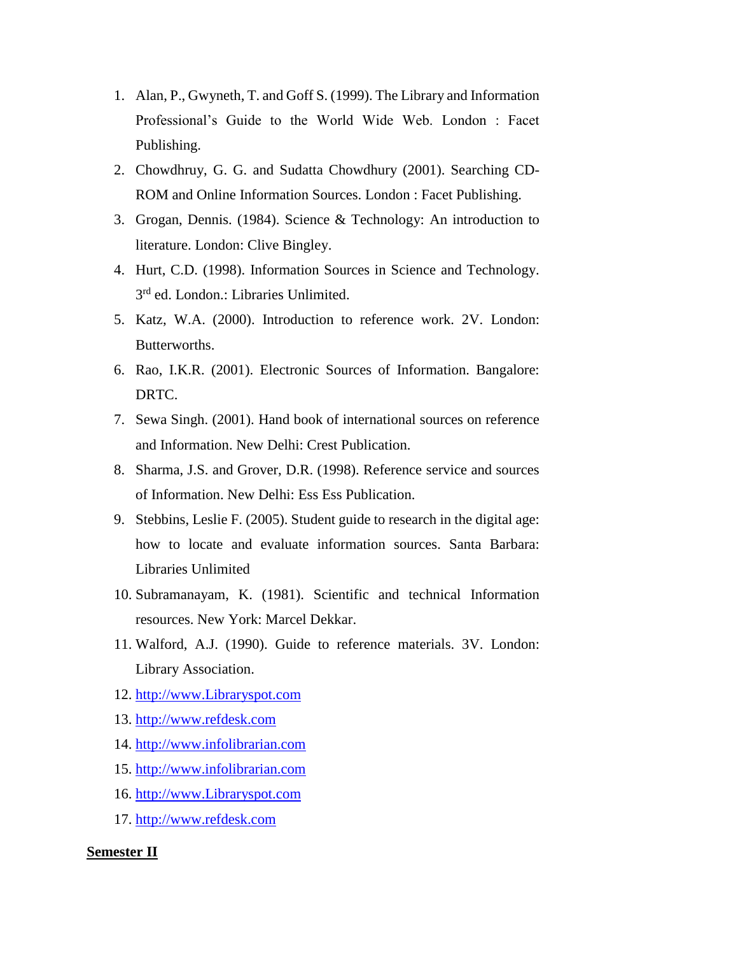- 1. Alan, P., Gwyneth, T. and Goff S. (1999). The Library and Information Professional's Guide to the World Wide Web. London : Facet Publishing.
- 2. Chowdhruy, G. G. and Sudatta Chowdhury (2001). Searching CD-ROM and Online Information Sources. London : Facet Publishing.
- 3. Grogan, Dennis. (1984). Science & Technology: An introduction to literature. London: Clive Bingley.
- 4. Hurt, C.D. (1998). Information Sources in Science and Technology. 3<sup>rd</sup> ed. London.: Libraries Unlimited.
- 5. Katz, W.A. (2000). Introduction to reference work. 2V. London: Butterworths.
- 6. Rao, I.K.R. (2001). Electronic Sources of Information. Bangalore: DRTC.
- 7. Sewa Singh. (2001). Hand book of international sources on reference and Information. New Delhi: Crest Publication.
- 8. Sharma, J.S. and Grover, D.R. (1998). Reference service and sources of Information. New Delhi: Ess Ess Publication.
- 9. Stebbins, Leslie F. (2005). Student guide to research in the digital age: how to locate and evaluate information sources. Santa Barbara: Libraries Unlimited
- 10. Subramanayam, K. (1981). Scientific and technical Information resources. New York: Marcel Dekkar.
- 11. Walford, A.J. (1990). Guide to reference materials. 3V. London: Library Association.
- 12. [http://www.Libraryspot.com](http://www.libraryspot.com/)
- 13. [http://www.refdesk.com](http://www.refdesk.com/)
- 14. [http://www.infolibrarian.com](http://www.infolibrarian.com/)
- 15. [http://www.infolibrarian.com](http://www.infolibrarian.com/)
- 16. [http://www.Libraryspot.com](http://www.libraryspot.com/)
- 17. [http://www.refdesk.com](http://www.refdesk.com/)

# **Semester II**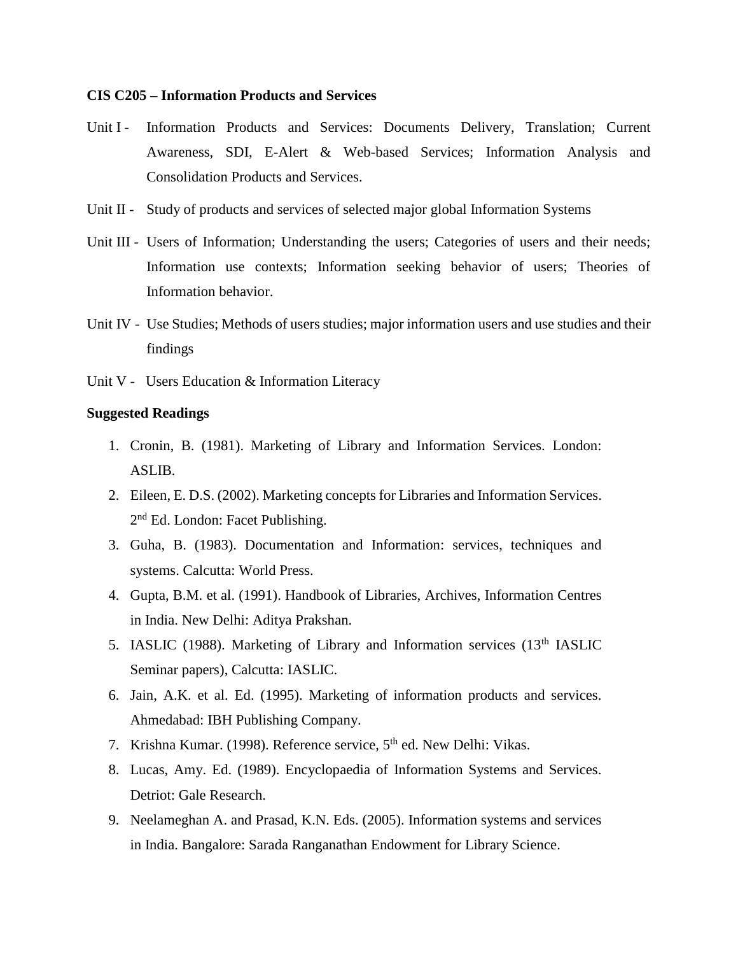## **CIS C205 – Information Products and Services**

- Unit I Information Products and Services: Documents Delivery, Translation; Current Awareness, SDI, E-Alert & Web-based Services; Information Analysis and Consolidation Products and Services.
- Unit II Study of products and services of selected major global Information Systems
- Unit III Users of Information; Understanding the users; Categories of users and their needs; Information use contexts; Information seeking behavior of users; Theories of Information behavior.
- Unit IV Use Studies; Methods of users studies; major information users and use studies and their findings
- Unit V Users Education & Information Literacy

- 1. Cronin, B. (1981). Marketing of Library and Information Services. London: ASLIB.
- 2. Eileen, E. D.S. (2002). Marketing concepts for Libraries and Information Services. 2<sup>nd</sup> Ed. London: Facet Publishing.
- 3. Guha, B. (1983). Documentation and Information: services, techniques and systems. Calcutta: World Press.
- 4. Gupta, B.M. et al. (1991). Handbook of Libraries, Archives, Information Centres in India. New Delhi: Aditya Prakshan.
- 5. IASLIC (1988). Marketing of Library and Information services (13<sup>th</sup> IASLIC Seminar papers), Calcutta: IASLIC.
- 6. Jain, A.K. et al. Ed. (1995). Marketing of information products and services. Ahmedabad: IBH Publishing Company.
- 7. Krishna Kumar. (1998). Reference service, 5<sup>th</sup> ed. New Delhi: Vikas.
- 8. Lucas, Amy. Ed. (1989). Encyclopaedia of Information Systems and Services. Detriot: Gale Research.
- 9. Neelameghan A. and Prasad, K.N. Eds. (2005). Information systems and services in India. Bangalore: Sarada Ranganathan Endowment for Library Science.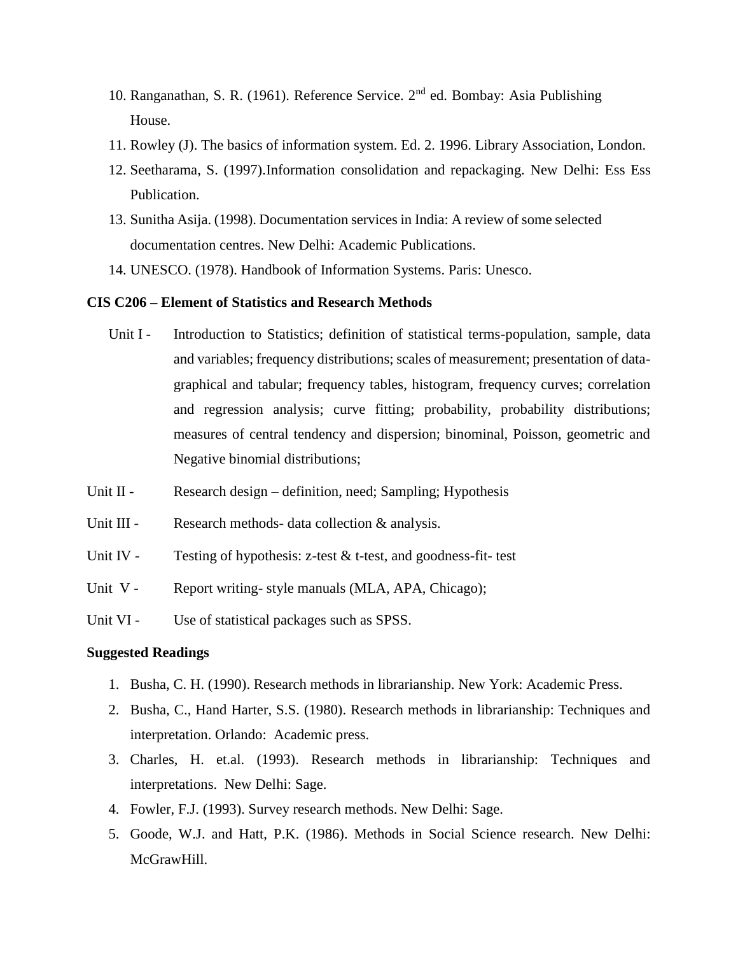- 10. Ranganathan, S. R. (1961). Reference Service. 2nd ed. Bombay: Asia Publishing House.
- 11. Rowley (J). The basics of information system. Ed. 2. 1996. Library Association, London.
- 12. Seetharama, S. (1997).Information consolidation and repackaging. New Delhi: Ess Ess Publication.
- 13. Sunitha Asija. (1998). Documentation services in India: A review of some selected documentation centres. New Delhi: Academic Publications.
- 14. UNESCO. (1978). Handbook of Information Systems. Paris: Unesco.

### **CIS C206 – Element of Statistics and Research Methods**

- Unit I Introduction to Statistics; definition of statistical terms-population, sample, data and variables; frequency distributions; scales of measurement; presentation of datagraphical and tabular; frequency tables, histogram, frequency curves; correlation and regression analysis; curve fitting; probability, probability distributions; measures of central tendency and dispersion; binominal, Poisson, geometric and Negative binomial distributions;
- Unit II Research design definition, need; Sampling; Hypothesis
- Unit III Research methods- data collection & analysis.
- Unit IV Testing of hypothesis:  $z$ -test  $\&$  t-test, and goodness-fit- test
- Unit V Report writing-style manuals (MLA, APA, Chicago);
- Unit VI Use of statistical packages such as SPSS.

- 1. Busha, C. H. (1990). Research methods in librarianship. New York: Academic Press.
- 2. Busha, C., Hand Harter, S.S. (1980). Research methods in librarianship: Techniques and interpretation. Orlando: Academic press.
- 3. Charles, H. et.al. (1993). Research methods in librarianship: Techniques and interpretations. New Delhi: Sage.
- 4. Fowler, F.J. (1993). Survey research methods. New Delhi: Sage.
- 5. Goode, W.J. and Hatt, P.K. (1986). Methods in Social Science research. New Delhi: McGrawHill.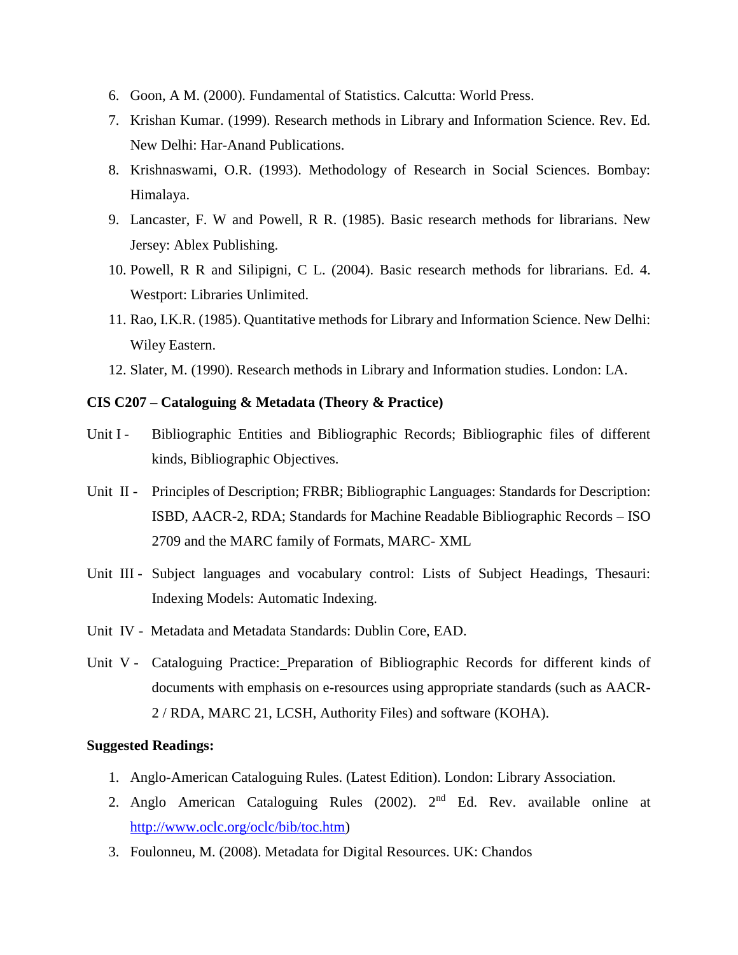- 6. Goon, A M. (2000). Fundamental of Statistics. Calcutta: World Press.
- 7. Krishan Kumar. (1999). Research methods in Library and Information Science. Rev. Ed. New Delhi: Har-Anand Publications.
- 8. Krishnaswami, O.R. (1993). Methodology of Research in Social Sciences. Bombay: Himalaya.
- 9. Lancaster, F. W and Powell, R R. (1985). Basic research methods for librarians. New Jersey: Ablex Publishing.
- 10. Powell, R R and Silipigni, C L. (2004). Basic research methods for librarians. Ed. 4. Westport: Libraries Unlimited.
- 11. Rao, I.K.R. (1985). Quantitative methods for Library and Information Science. New Delhi: Wiley Eastern.
- 12. Slater, M. (1990). Research methods in Library and Information studies. London: LA.

# **CIS C207 – Cataloguing & Metadata (Theory & Practice)**

- Unit I Bibliographic Entities and Bibliographic Records; Bibliographic files of different kinds, Bibliographic Objectives.
- Unit II Principles of Description; FRBR; Bibliographic Languages: Standards for Description: ISBD, AACR-2, RDA; Standards for Machine Readable Bibliographic Records – ISO 2709 and the MARC family of Formats, MARC- XML
- Unit III Subject languages and vocabulary control: Lists of Subject Headings, Thesauri: Indexing Models: Automatic Indexing.
- Unit IV Metadata and Metadata Standards: Dublin Core, EAD.
- Unit V Cataloguing Practice: Preparation of Bibliographic Records for different kinds of documents with emphasis on e-resources using appropriate standards (such as AACR-2 / RDA, MARC 21, LCSH, Authority Files) and software (KOHA).

- 1. Anglo-American Cataloguing Rules. (Latest Edition). London: Library Association.
- 2. Anglo American Cataloguing Rules (2002).  $2<sup>nd</sup>$  Ed. Rev. available online at [http://www.oclc.org/oclc/bib/toc.htm\)](http://www.oclc.org/oclc/bib/toc.htm)
- 3. Foulonneu, M. (2008). Metadata for Digital Resources. UK: Chandos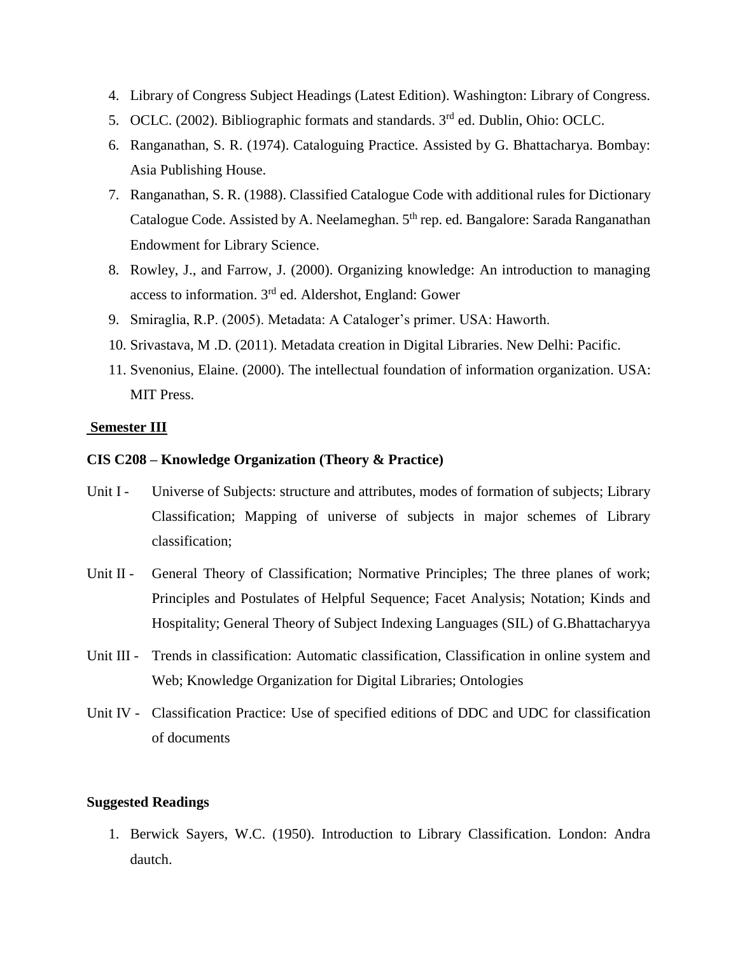- 4. Library of Congress Subject Headings (Latest Edition). Washington: Library of Congress.
- 5. OCLC. (2002). Bibliographic formats and standards. 3<sup>rd</sup> ed. Dublin, Ohio: OCLC.
- 6. Ranganathan, S. R. (1974). Cataloguing Practice. Assisted by G. Bhattacharya. Bombay: Asia Publishing House.
- 7. Ranganathan, S. R. (1988). Classified Catalogue Code with additional rules for Dictionary Catalogue Code. Assisted by A. Neelameghan. 5<sup>th</sup> rep. ed. Bangalore: Sarada Ranganathan Endowment for Library Science.
- 8. Rowley, J., and Farrow, J. (2000). Organizing knowledge: An introduction to managing access to information. 3rd ed. Aldershot, England: Gower
- 9. Smiraglia, R.P. (2005). Metadata: A Cataloger's primer. USA: Haworth.
- 10. Srivastava, M .D. (2011). Metadata creation in Digital Libraries. New Delhi: Pacific.
- 11. Svenonius, Elaine. (2000). The intellectual foundation of information organization. USA: MIT Press.

## **Semester III**

# **CIS C208 – Knowledge Organization (Theory & Practice)**

- Unit I Universe of Subjects: structure and attributes, modes of formation of subjects; Library Classification; Mapping of universe of subjects in major schemes of Library classification;
- Unit II General Theory of Classification; Normative Principles; The three planes of work; Principles and Postulates of Helpful Sequence; Facet Analysis; Notation; Kinds and Hospitality; General Theory of Subject Indexing Languages (SIL) of G.Bhattacharyya
- Unit III Trends in classification: Automatic classification, Classification in online system and Web; Knowledge Organization for Digital Libraries; Ontologies
- Unit IV Classification Practice: Use of specified editions of DDC and UDC for classification of documents

# **Suggested Readings**

1. Berwick Sayers, W.C. (1950). Introduction to Library Classification. London: Andra dautch.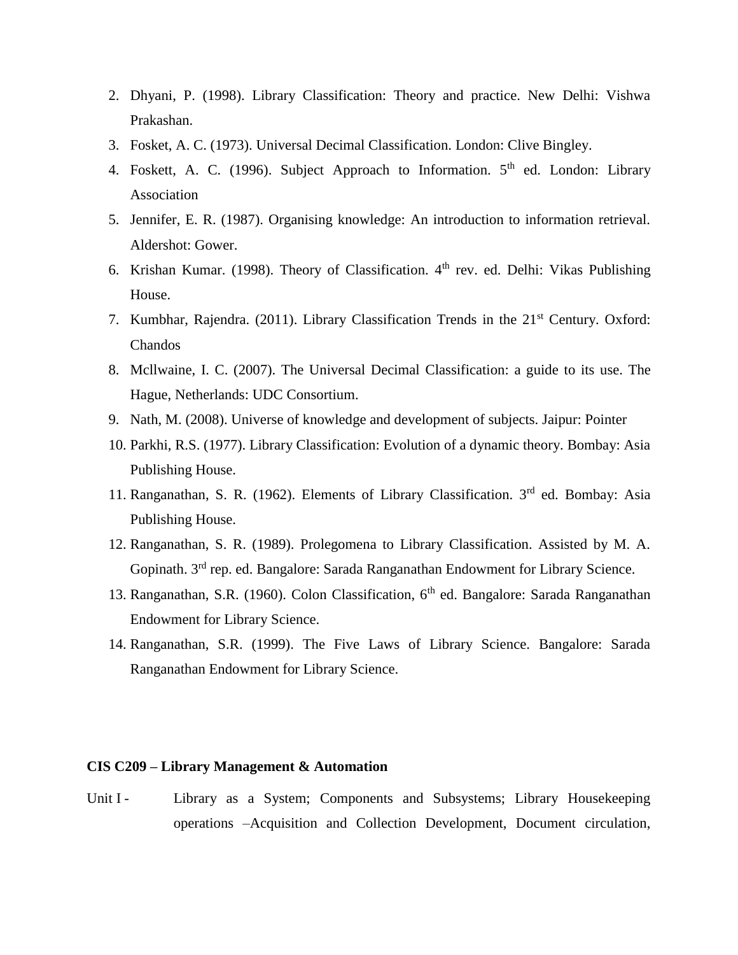- 2. Dhyani, P. (1998). Library Classification: Theory and practice. New Delhi: Vishwa Prakashan.
- 3. Fosket, A. C. (1973). Universal Decimal Classification. London: Clive Bingley.
- 4. Foskett, A. C. (1996). Subject Approach to Information.  $5<sup>th</sup>$  ed. London: Library Association
- 5. Jennifer, E. R. (1987). Organising knowledge: An introduction to information retrieval. Aldershot: Gower.
- 6. Krishan Kumar. (1998). Theory of Classification.  $4<sup>th</sup>$  rev. ed. Delhi: Vikas Publishing House.
- 7. Kumbhar, Rajendra. (2011). Library Classification Trends in the 21<sup>st</sup> Century. Oxford: Chandos
- 8. Mcllwaine, I. C. (2007). The Universal Decimal Classification: a guide to its use. The Hague, Netherlands: UDC Consortium.
- 9. Nath, M. (2008). Universe of knowledge and development of subjects. Jaipur: Pointer
- 10. Parkhi, R.S. (1977). Library Classification: Evolution of a dynamic theory. Bombay: Asia Publishing House.
- 11. Ranganathan, S. R. (1962). Elements of Library Classification.  $3<sup>rd</sup>$  ed. Bombay: Asia Publishing House.
- 12. Ranganathan, S. R. (1989). Prolegomena to Library Classification. Assisted by M. A. Gopinath. 3<sup>rd</sup> rep. ed. Bangalore: Sarada Ranganathan Endowment for Library Science.
- 13. Ranganathan, S.R. (1960). Colon Classification, 6<sup>th</sup> ed. Bangalore: Sarada Ranganathan Endowment for Library Science.
- 14. Ranganathan, S.R. (1999). The Five Laws of Library Science. Bangalore: Sarada Ranganathan Endowment for Library Science.

#### **CIS C209 – Library Management & Automation**

Unit I - Library as a System; Components and Subsystems; Library Housekeeping operations –Acquisition and Collection Development, Document circulation,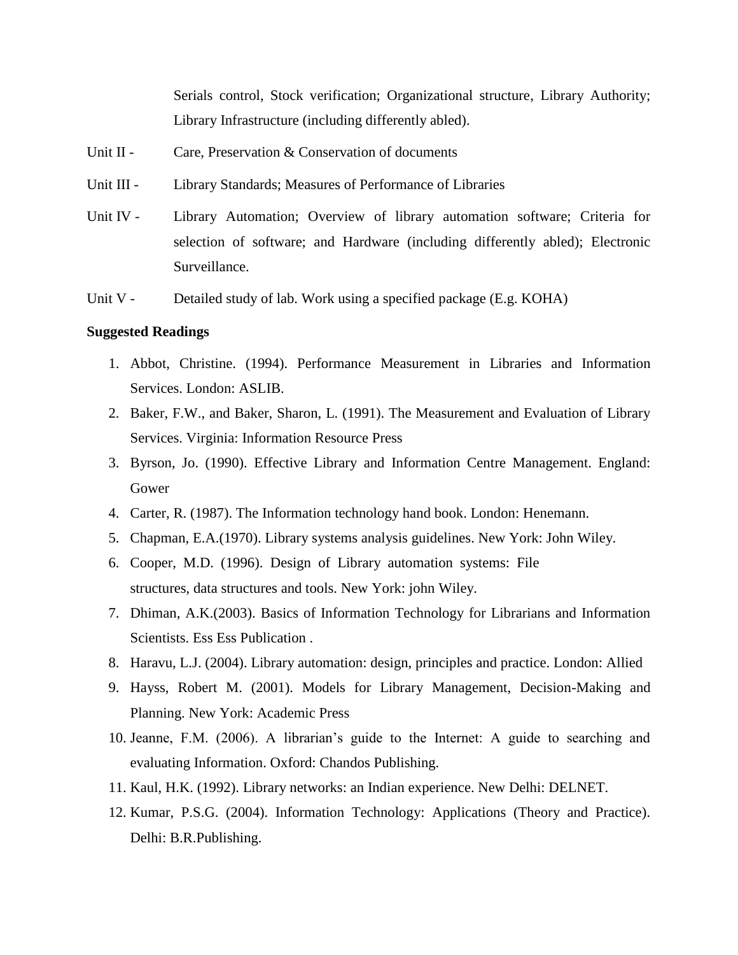Serials control, Stock verification; Organizational structure, Library Authority; Library Infrastructure (including differently abled).

- Unit II Care, Preservation & Conservation of documents
- Unit III Library Standards; Measures of Performance of Libraries
- Unit IV Library Automation; Overview of library automation software; Criteria for selection of software; and Hardware (including differently abled); Electronic Surveillance.
- Unit V Detailed study of lab. Work using a specified package (E.g. KOHA)

- 1. Abbot, Christine. (1994). Performance Measurement in Libraries and Information Services. London: ASLIB.
- 2. Baker, F.W., and Baker, Sharon, L. (1991). The Measurement and Evaluation of Library Services. Virginia: Information Resource Press
- 3. Byrson, Jo. (1990). Effective Library and Information Centre Management. England: Gower
- 4. Carter, R. (1987). The Information technology hand book. London: Henemann.
- 5. Chapman, E.A.(1970). Library systems analysis guidelines. New York: John Wiley.
- 6. Cooper, M.D. (1996). Design of Library automation systems: File structures, data structures and tools. New York: john Wiley.
- 7. Dhiman, A.K.(2003). Basics of Information Technology for Librarians and Information Scientists. Ess Ess Publication .
- 8. Haravu, L.J. (2004). Library automation: design, principles and practice. London: Allied
- 9. Hayss, Robert M. (2001). Models for Library Management, Decision-Making and Planning. New York: Academic Press
- 10. Jeanne, F.M. (2006). A librarian's guide to the Internet: A guide to searching and evaluating Information. Oxford: Chandos Publishing.
- 11. Kaul, H.K. (1992). Library networks: an Indian experience. New Delhi: DELNET.
- 12. Kumar, P.S.G. (2004). Information Technology: Applications (Theory and Practice). Delhi: B.R.Publishing.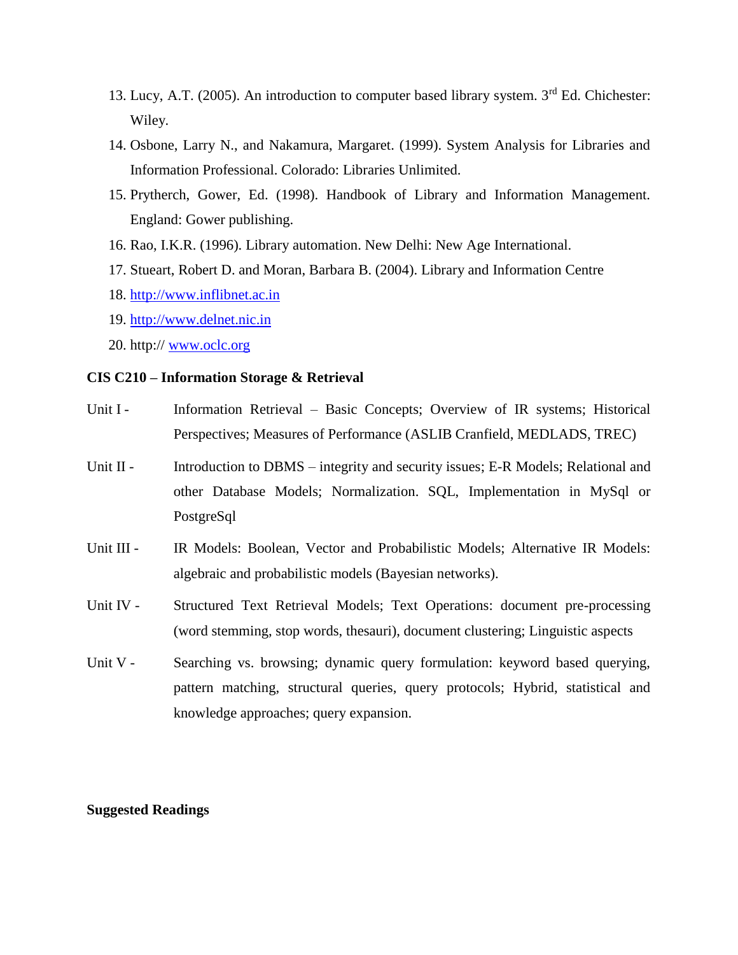- 13. Lucy, A.T. (2005). An introduction to computer based library system. 3<sup>rd</sup> Ed. Chichester: Wiley.
- 14. Osbone, Larry N., and Nakamura, Margaret. (1999). System Analysis for Libraries and Information Professional. Colorado: Libraries Unlimited.
- 15. Prytherch, Gower, Ed. (1998). Handbook of Library and Information Management. England: Gower publishing.
- 16. Rao, I.K.R. (1996). Library automation. New Delhi: New Age International.
- 17. Stueart, Robert D. and Moran, Barbara B. (2004). Library and Information Centre
- 18. [http://www.inflibnet.ac.in](http://www.inflibnet.ac.in/)
- 19. [http://www.delnet.nic.in](http://www.delnet.nic.in/)
- 20. http:// [www.oclc.org](http://www.oclc.org/)

# **CIS C210 – Information Storage & Retrieval**

- Unit I Information Retrieval Basic Concepts; Overview of IR systems; Historical Perspectives; Measures of Performance (ASLIB Cranfield, MEDLADS, TREC)
- Unit II Introduction to DBMS integrity and security issues; E-R Models; Relational and other Database Models; Normalization. SQL, Implementation in MySql or PostgreSql
- Unit III IR Models: Boolean, Vector and Probabilistic Models; Alternative IR Models: algebraic and probabilistic models (Bayesian networks).
- Unit IV Structured Text Retrieval Models; Text Operations: document pre-processing (word stemming, stop words, thesauri), document clustering; Linguistic aspects
- Unit V Searching vs. browsing; dynamic query formulation: keyword based querying, pattern matching, structural queries, query protocols; Hybrid, statistical and knowledge approaches; query expansion.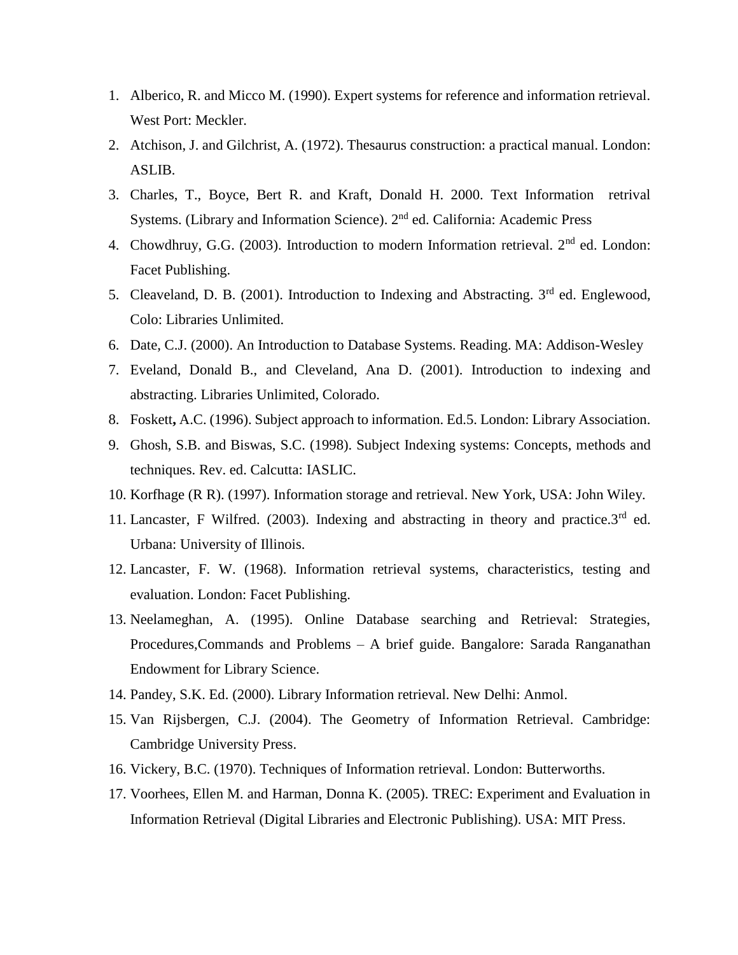- 1. Alberico, R. and Micco M. (1990). Expert systems for reference and information retrieval. West Port: Meckler.
- 2. Atchison, J. and Gilchrist, A. (1972). Thesaurus construction: a practical manual. London: ASLIB.
- 3. Charles, T., Boyce, Bert R. and Kraft, Donald H. 2000. Text Information retrival Systems. (Library and Information Science). 2nd ed. California: Academic Press
- 4. Chowdhruy, G.G. (2003). Introduction to modern Information retrieval. 2<sup>nd</sup> ed. London: Facet Publishing.
- 5. Cleaveland, D. B. (2001). Introduction to Indexing and Abstracting.  $3<sup>rd</sup>$  ed. Englewood, Colo: Libraries Unlimited.
- 6. Date, C.J. (2000). An Introduction to Database Systems. Reading. MA: Addison-Wesley
- 7. Eveland, Donald B., and Cleveland, Ana D. (2001). Introduction to indexing and abstracting. Libraries Unlimited, Colorado.
- 8. Foskett**,** A.C. (1996). Subject approach to information. Ed.5. London: Library Association.
- 9. Ghosh, S.B. and Biswas, S.C. (1998). Subject Indexing systems: Concepts, methods and techniques. Rev. ed. Calcutta: IASLIC.
- 10. Korfhage (R R). (1997). Information storage and retrieval. New York, USA: John Wiley.
- 11. Lancaster, F Wilfred. (2003). Indexing and abstracting in theory and practice. $3<sup>rd</sup>$  ed. Urbana: University of Illinois.
- 12. Lancaster, F. W. (1968). Information retrieval systems, characteristics, testing and evaluation. London: Facet Publishing.
- 13. Neelameghan, A. (1995). Online Database searching and Retrieval: Strategies, Procedures,Commands and Problems – A brief guide. Bangalore: Sarada Ranganathan Endowment for Library Science.
- 14. Pandey, S.K. Ed. (2000). Library Information retrieval. New Delhi: Anmol.
- 15. Van Rijsbergen, C.J. (2004). The Geometry of Information Retrieval. Cambridge: Cambridge University Press.
- 16. Vickery, B.C. (1970). Techniques of Information retrieval. London: Butterworths.
- 17. Voorhees, Ellen M. and Harman, Donna K. (2005). TREC: Experiment and Evaluation in Information Retrieval (Digital Libraries and Electronic Publishing). USA: MIT Press.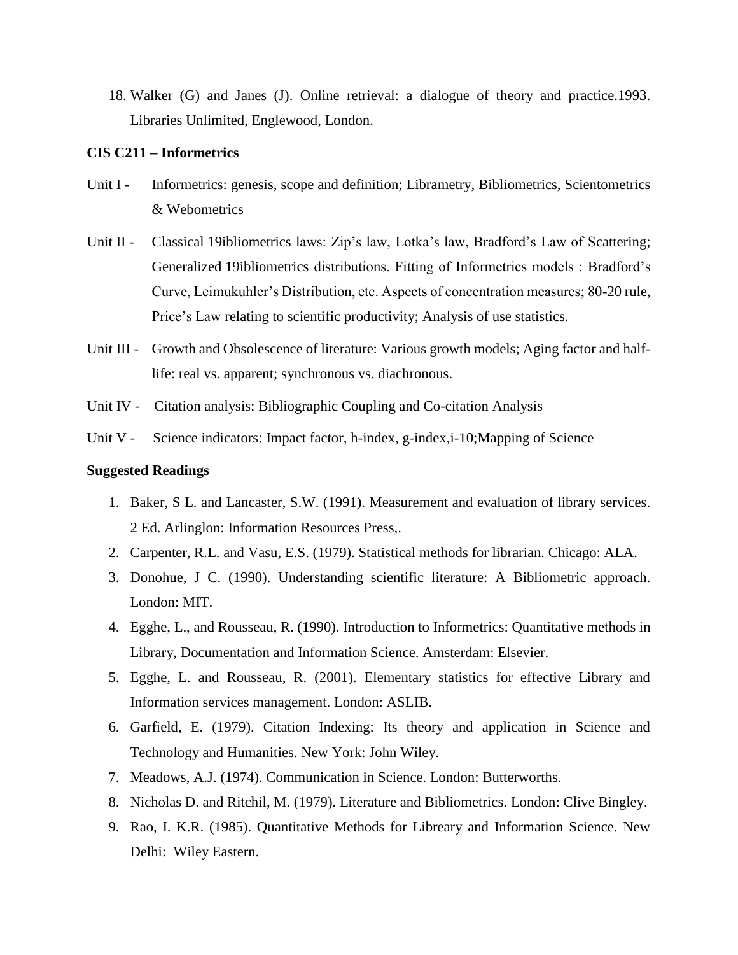18. Walker (G) and Janes (J). Online retrieval: a dialogue of theory and practice.1993. Libraries Unlimited, Englewood, London.

## **CIS C211 – Informetrics**

- Unit I Informetrics: genesis, scope and definition; Librametry, Bibliometrics, Scientometrics & Webometrics
- Unit II Classical 19ibliometrics laws: Zip's law, Lotka's law, Bradford's Law of Scattering; Generalized 19ibliometrics distributions. Fitting of Informetrics models : Bradford's Curve, Leimukuhler's Distribution, etc. Aspects of concentration measures; 80-20 rule, Price's Law relating to scientific productivity; Analysis of use statistics.
- Unit III Growth and Obsolescence of literature: Various growth models; Aging factor and halflife: real vs. apparent; synchronous vs. diachronous.
- Unit IV Citation analysis: Bibliographic Coupling and Co-citation Analysis
- Unit V Science indicators: Impact factor, h-index, g-index, i-10; Mapping of Science

- 1. Baker, S L. and Lancaster, S.W. (1991). Measurement and evaluation of library services. 2 Ed. Arlinglon: Information Resources Press,.
- 2. Carpenter, R.L. and Vasu, E.S. (1979). Statistical methods for librarian. Chicago: ALA.
- 3. Donohue, J C. (1990). Understanding scientific literature: A Bibliometric approach. London: MIT.
- 4. Egghe, L., and Rousseau, R. (1990). Introduction to Informetrics: Quantitative methods in Library, Documentation and Information Science. Amsterdam: Elsevier.
- 5. Egghe, L. and Rousseau, R. (2001). Elementary statistics for effective Library and Information services management. London: ASLIB.
- 6. Garfield, E. (1979). Citation Indexing: Its theory and application in Science and Technology and Humanities. New York: John Wiley.
- 7. Meadows, A.J. (1974). Communication in Science. London: Butterworths.
- 8. Nicholas D. and Ritchil, M. (1979). Literature and Bibliometrics. London: Clive Bingley.
- 9. Rao, I. K.R. (1985). Quantitative Methods for Libreary and Information Science. New Delhi: Wiley Eastern.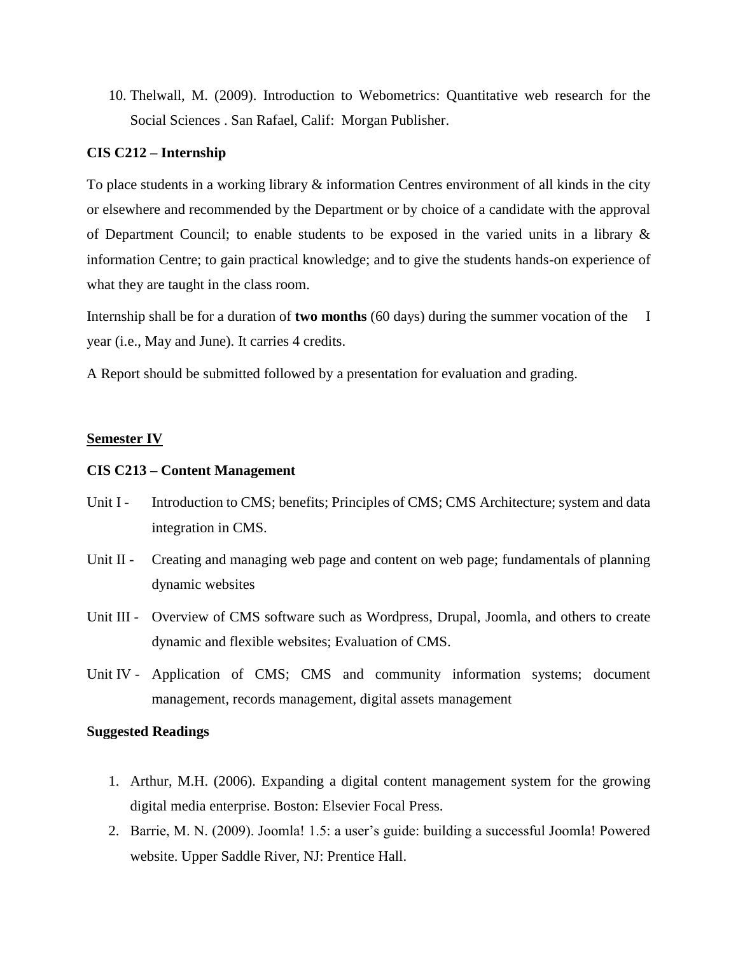10. Thelwall, M. (2009). Introduction to Webometrics: Quantitative web research for the Social Sciences . San Rafael, Calif: Morgan Publisher.

## **CIS C212 – Internship**

To place students in a working library & information Centres environment of all kinds in the city or elsewhere and recommended by the Department or by choice of a candidate with the approval of Department Council; to enable students to be exposed in the varied units in a library  $\&$ information Centre; to gain practical knowledge; and to give the students hands-on experience of what they are taught in the class room.

Internship shall be for a duration of **two months** (60 days) during the summer vocation of the I year (i.e., May and June). It carries 4 credits.

A Report should be submitted followed by a presentation for evaluation and grading.

#### **Semester IV**

#### **CIS C213 – Content Management**

- Unit I Introduction to CMS; benefits; Principles of CMS; CMS Architecture; system and data integration in CMS.
- Unit II Creating and managing web page and content on web page; fundamentals of planning dynamic websites
- Unit III Overview of CMS software such as Wordpress, Drupal, Joomla, and others to create dynamic and flexible websites; Evaluation of CMS.
- Unit IV Application of CMS; CMS and community information systems; document management, records management, digital assets management

- 1. Arthur, M.H. (2006). Expanding a digital content management system for the growing digital media enterprise. Boston: Elsevier Focal Press.
- 2. Barrie, M. N. (2009). Joomla! 1.5: a user's guide: building a successful Joomla! Powered website. Upper Saddle River, NJ: Prentice Hall.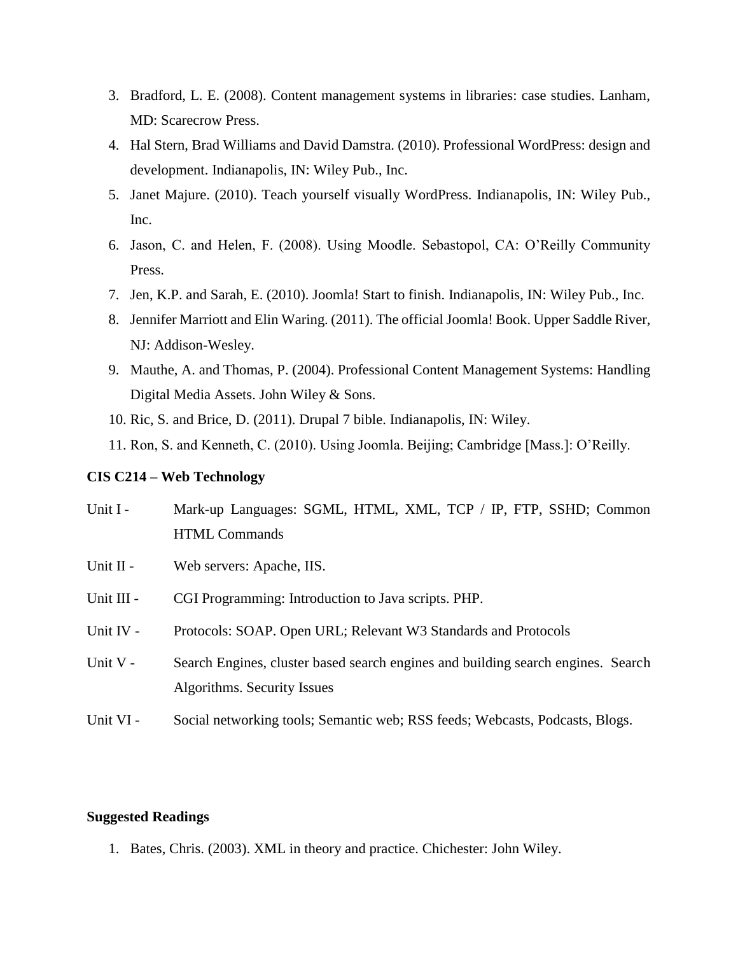- 3. Bradford, L. E. (2008). Content management systems in libraries: case studies. Lanham, MD: Scarecrow Press.
- 4. Hal Stern, Brad Williams and David Damstra. (2010). Professional WordPress: design and development. Indianapolis, IN: Wiley Pub., Inc.
- 5. Janet Majure. (2010). Teach yourself visually WordPress. Indianapolis, IN: Wiley Pub., Inc.
- 6. Jason, C. and Helen, F. (2008). Using Moodle. Sebastopol, CA: O'Reilly Community Press.
- 7. Jen, K.P. and Sarah, E. (2010). Joomla! Start to finish. Indianapolis, IN: Wiley Pub., Inc.
- 8. Jennifer Marriott and Elin Waring. (2011). The official Joomla! Book. Upper Saddle River, NJ: Addison-Wesley.
- 9. Mauthe, A. and Thomas, P. (2004). Professional Content Management Systems: Handling Digital Media Assets. John Wiley & Sons.
- 10. Ric, S. and Brice, D. (2011). Drupal 7 bible. Indianapolis, IN: Wiley.
- 11. Ron, S. and Kenneth, C. (2010). Using Joomla. Beijing; Cambridge [Mass.]: O'Reilly.

# **CIS C214 – Web Technology**

- Unit I Mark-up Languages: SGML, HTML, XML, TCP / IP, FTP, SSHD; Common HTML Commands
- Unit II Web servers: Apache, IIS.
- Unit III CGI Programming: Introduction to Java scripts. PHP.
- Unit IV Protocols: SOAP. Open URL; Relevant W3 Standards and Protocols
- Unit V Search Engines, cluster based search engines and building search engines. Search Algorithms. Security Issues
- Unit VI Social networking tools; Semantic web; RSS feeds; Webcasts, Podcasts, Blogs.

# **Suggested Readings**

1. Bates, Chris. (2003). XML in theory and practice. Chichester: John Wiley.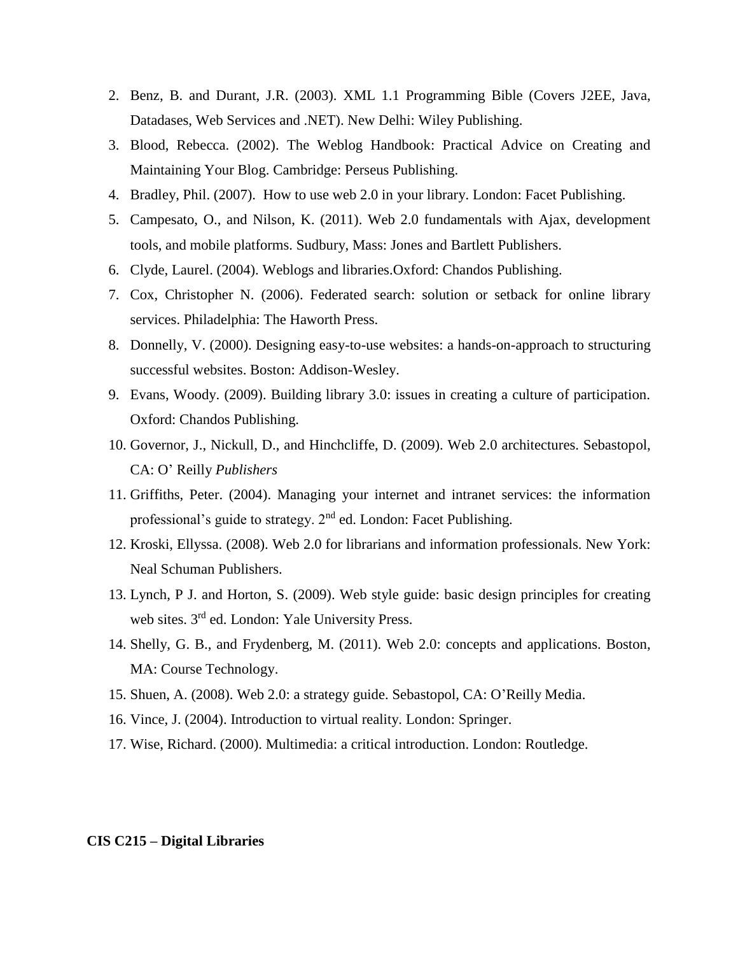- 2. Benz, B. and Durant, J.R. (2003). XML 1.1 Programming Bible (Covers J2EE, Java, Datadases, Web Services and .NET). New Delhi: Wiley Publishing.
- 3. Blood, Rebecca. (2002). The Weblog Handbook: Practical Advice on Creating and Maintaining Your Blog. Cambridge: Perseus Publishing.
- 4. Bradley, Phil. (2007). How to use web 2.0 in your library. London: Facet Publishing.
- 5. Campesato, O., and Nilson, K. (2011). Web 2.0 fundamentals with Ajax, development tools, and mobile platforms. Sudbury, Mass: Jones and Bartlett Publishers.
- 6. Clyde, Laurel. (2004). Weblogs and libraries.Oxford: Chandos Publishing.
- 7. Cox, Christopher N. (2006). Federated search: solution or setback for online library services. Philadelphia: The Haworth Press.
- 8. Donnelly, V. (2000). Designing easy-to-use websites: a hands-on-approach to structuring successful websites. Boston: Addison-Wesley.
- 9. Evans, Woody. (2009). Building library 3.0: issues in creating a culture of participation. Oxford: Chandos Publishing.
- 10. Governor, J., Nickull, D., and Hinchcliffe, D. (2009). Web 2.0 architectures. Sebastopol, CA: O' Reilly *Publishers*
- 11. Griffiths, Peter. (2004). Managing your internet and intranet services: the information professional's guide to strategy.  $2<sup>nd</sup>$  ed. London: Facet Publishing.
- 12. Kroski, Ellyssa. (2008). Web 2.0 for librarians and information professionals. New York: Neal Schuman Publishers.
- 13. Lynch, P J. and Horton, S. (2009). Web style guide: basic design principles for creating web sites. 3<sup>rd</sup> ed. London: Yale University Press.
- 14. Shelly, G. B., and Frydenberg, M. (2011). Web 2.0: concepts and applications. Boston, MA: Course Technology.
- 15. Shuen, A. (2008). Web 2.0: a strategy guide. Sebastopol, CA: O'Reilly Media.
- 16. Vince, J. (2004). Introduction to virtual reality. London: Springer.
- 17. Wise, Richard. (2000). Multimedia: a critical introduction. London: Routledge.

#### **CIS C215 – Digital Libraries**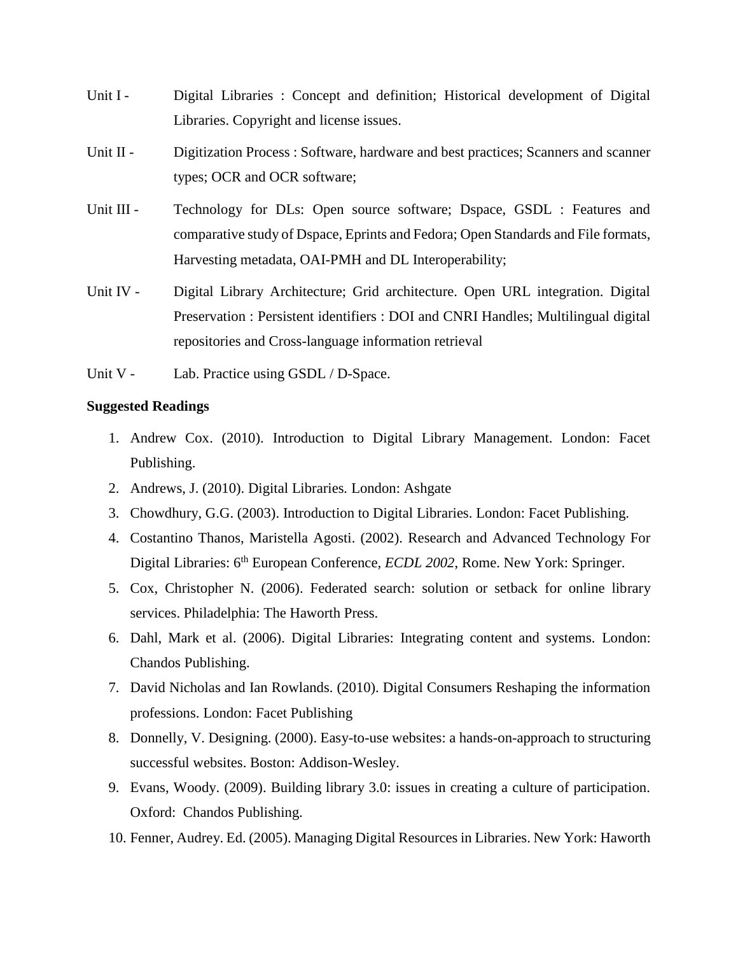- Unit I Digital Libraries : Concept and definition; Historical development of Digital Libraries. Copyright and license issues.
- Unit II Digitization Process : Software, hardware and best practices; Scanners and scanner types; OCR and OCR software;
- Unit III Technology for DLs: Open source software; Dspace, GSDL : Features and comparative study of Dspace, Eprints and Fedora; Open Standards and File formats, Harvesting metadata, OAI-PMH and DL Interoperability;
- Unit IV Digital Library Architecture; Grid architecture. Open URL integration. Digital Preservation : Persistent identifiers : DOI and CNRI Handles; Multilingual digital repositories and Cross-language information retrieval
- Unit V Lab. Practice using GSDL / D-Space.

- 1. Andrew Cox. (2010). Introduction to Digital Library Management. London: Facet Publishing.
- 2. Andrews, J. (2010). Digital Libraries*.* London: Ashgate
- 3. Chowdhury, G.G. (2003). Introduction to Digital Libraries. London: Facet Publishing.
- 4. Costantino Thanos, Maristella Agosti. (2002). Research and Advanced Technology For Digital Libraries: 6th European Conference*, ECDL 2002*, Rome. New York: Springer.
- 5. Cox, Christopher N. (2006). Federated search: solution or setback for online library services. Philadelphia: The Haworth Press.
- 6. Dahl, Mark et al. (2006). Digital Libraries: Integrating content and systems. London: Chandos Publishing.
- 7. David Nicholas and Ian Rowlands. (2010). Digital Consumers Reshaping the information professions. London: Facet Publishing
- 8. Donnelly, V. Designing. (2000). Easy-to-use websites: a hands-on-approach to structuring successful websites. Boston: Addison-Wesley.
- 9. Evans, Woody. (2009). Building library 3.0: issues in creating a culture of participation. Oxford: Chandos Publishing.
- 10. Fenner, Audrey. Ed. (2005). Managing Digital Resources in Libraries. New York: Haworth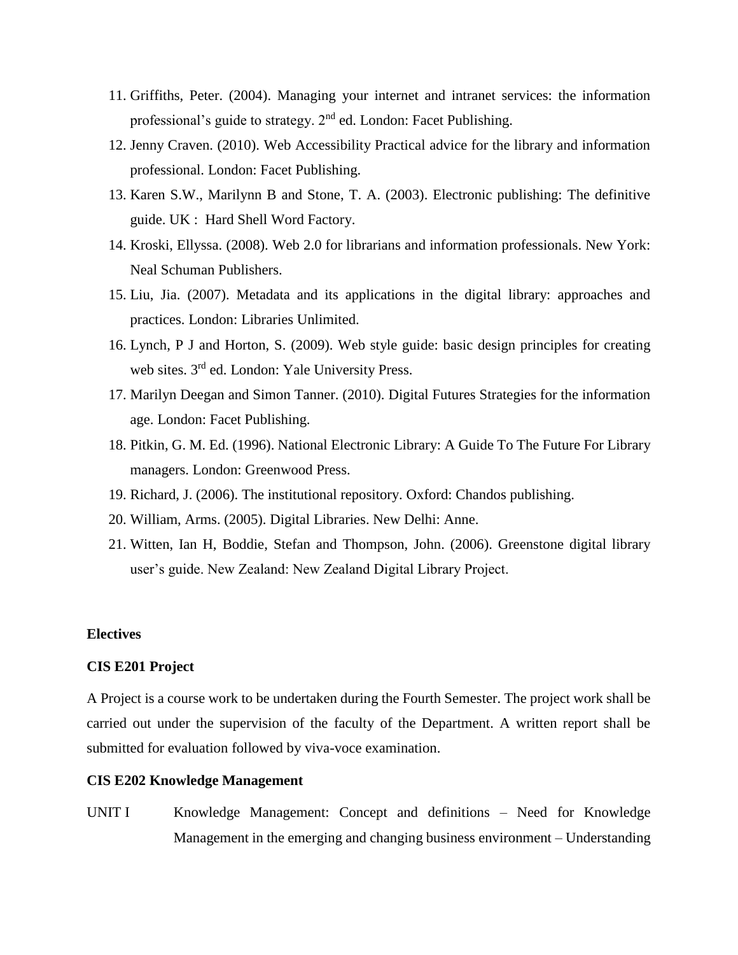- 11. Griffiths, Peter. (2004). Managing your internet and intranet services: the information professional's guide to strategy.  $2<sup>nd</sup>$  ed. London: Facet Publishing.
- 12. Jenny Craven. (2010). Web Accessibility Practical advice for the library and information professional. London: Facet Publishing.
- 13. Karen S.W., Marilynn B and Stone, T. A. (2003). Electronic publishing: The definitive guide. UK : Hard Shell Word Factory.
- 14. Kroski, Ellyssa. (2008). Web 2.0 for librarians and information professionals. New York: Neal Schuman Publishers.
- 15. Liu, Jia. (2007). Metadata and its applications in the digital library: approaches and practices. London: Libraries Unlimited.
- 16. Lynch, P J and Horton, S. (2009). Web style guide: basic design principles for creating web sites. 3<sup>rd</sup> ed. London: Yale University Press.
- 17. Marilyn Deegan and Simon Tanner. (2010). Digital Futures Strategies for the information age. London: Facet Publishing.
- 18. Pitkin, G. M. Ed. (1996). National Electronic Library: A Guide To The Future For Library managers. London: Greenwood Press.
- 19. Richard, J. (2006). The institutional repository. Oxford: Chandos publishing.
- 20. William, Arms. (2005). Digital Libraries. New Delhi: Anne.
- 21. Witten, Ian H, Boddie, Stefan and Thompson, John. (2006). Greenstone digital library user's guide. New Zealand: New Zealand Digital Library Project.

# **Electives**

## **CIS E201 Project**

A Project is a course work to be undertaken during the Fourth Semester. The project work shall be carried out under the supervision of the faculty of the Department. A written report shall be submitted for evaluation followed by viva-voce examination.

#### **CIS E202 Knowledge Management**

UNIT I Knowledge Management: Concept and definitions – Need for Knowledge Management in the emerging and changing business environment – Understanding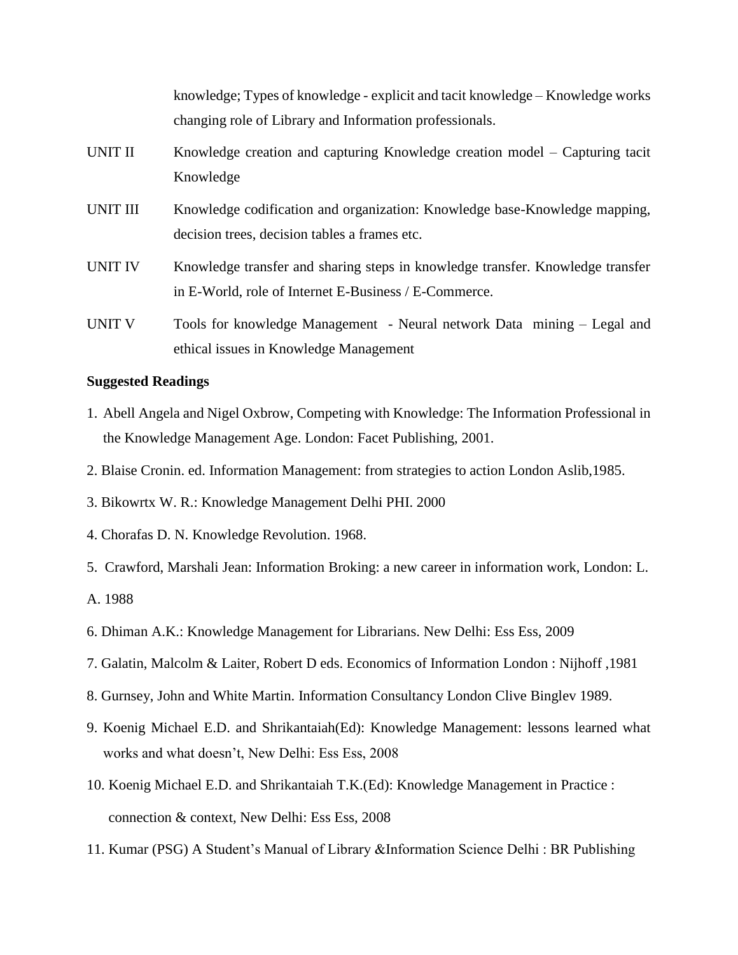knowledge; Types of knowledge - explicit and tacit knowledge – Knowledge works changing role of Library and Information professionals. UNIT II Knowledge creation and capturing Knowledge creation model – Capturing tacit Knowledge UNIT III Knowledge codification and organization: Knowledge base-Knowledge mapping, decision trees, decision tables a frames etc. UNIT IV Knowledge transfer and sharing steps in knowledge transfer. Knowledge transfer in E-World, role of Internet E-Business / E-Commerce. UNIT V Tools for knowledge Management - Neural network Data mining – Legal and

#### **Suggested Readings**

- 1. Abell Angela and Nigel Oxbrow, Competing with Knowledge: The Information Professional in the Knowledge Management Age. London: Facet Publishing, 2001.
- 2. Blaise Cronin. ed. Information Management: from strategies to action London Aslib,1985.
- 3. Bikowrtx W. R.: Knowledge Management Delhi PHI. 2000

ethical issues in Knowledge Management

- 4. Chorafas D. N. Knowledge Revolution. 1968.
- 5. Crawford, Marshali Jean: Information Broking: a new career in information work, London: L.
- A. 1988
- 6. Dhiman A.K.: Knowledge Management for Librarians. New Delhi: Ess Ess, 2009
- 7. Galatin, Malcolm & Laiter, Robert D eds. Economics of Information London : Nijhoff ,1981
- 8. Gurnsey, John and White Martin. Information Consultancy London Clive Binglev 1989.
- 9. Koenig Michael E.D. and Shrikantaiah(Ed): Knowledge Management: lessons learned what works and what doesn't, New Delhi: Ess Ess, 2008
- 10. Koenig Michael E.D. and Shrikantaiah T.K.(Ed): Knowledge Management in Practice : connection & context, New Delhi: Ess Ess, 2008
- 11. Kumar (PSG) A Student's Manual of Library &Information Science Delhi : BR Publishing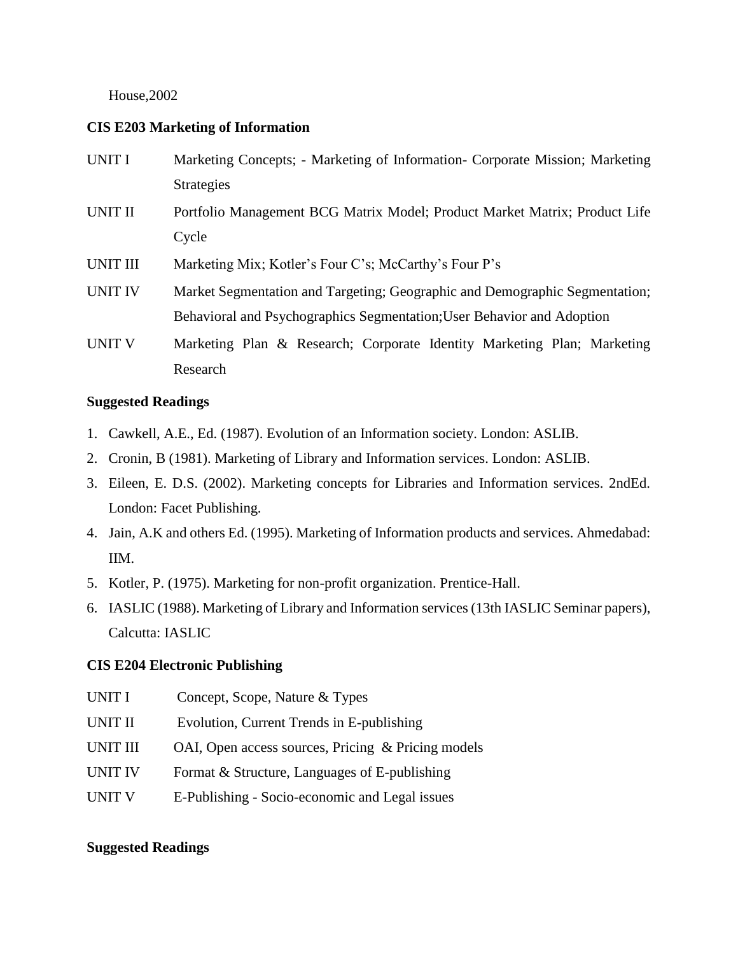# House,2002

# **CIS E203 Marketing of Information**

| <b>UNIT I</b>   | Marketing Concepts; - Marketing of Information- Corporate Mission; Marketing |
|-----------------|------------------------------------------------------------------------------|
|                 | <b>Strategies</b>                                                            |
| UNIT II         | Portfolio Management BCG Matrix Model; Product Market Matrix; Product Life   |
|                 | Cycle                                                                        |
| <b>UNIT III</b> | Marketing Mix; Kotler's Four C's; McCarthy's Four P's                        |
| <b>UNIT IV</b>  | Market Segmentation and Targeting; Geographic and Demographic Segmentation;  |
|                 | Behavioral and Psychographics Segmentation; User Behavior and Adoption       |
| <b>UNIT V</b>   | Marketing Plan & Research; Corporate Identity Marketing Plan; Marketing      |
|                 | Research                                                                     |

# **Suggested Readings**

- 1. Cawkell, A.E., Ed. (1987). Evolution of an Information society. London: ASLIB.
- 2. Cronin, B (1981). Marketing of Library and Information services. London: ASLIB.
- 3. Eileen, E. D.S. (2002). Marketing concepts for Libraries and Information services. 2ndEd. London: Facet Publishing.
- 4. Jain, A.K and others Ed. (1995). Marketing of Information products and services. Ahmedabad: IIM.
- 5. Kotler, P. (1975). Marketing for non-profit organization. Prentice-Hall.
- 6. IASLIC (1988). Marketing of Library and Information services (13th IASLIC Seminar papers), Calcutta: IASLIC

## **CIS E204 Electronic Publishing**

UNIT I Concept, Scope, Nature & Types UNIT II Evolution, Current Trends in E-publishing UNIT III OAI, Open access sources, Pricing & Pricing models UNIT IV Format  $&$  Structure, Languages of E-publishing UNIT V E-Publishing - Socio-economic and Legal issues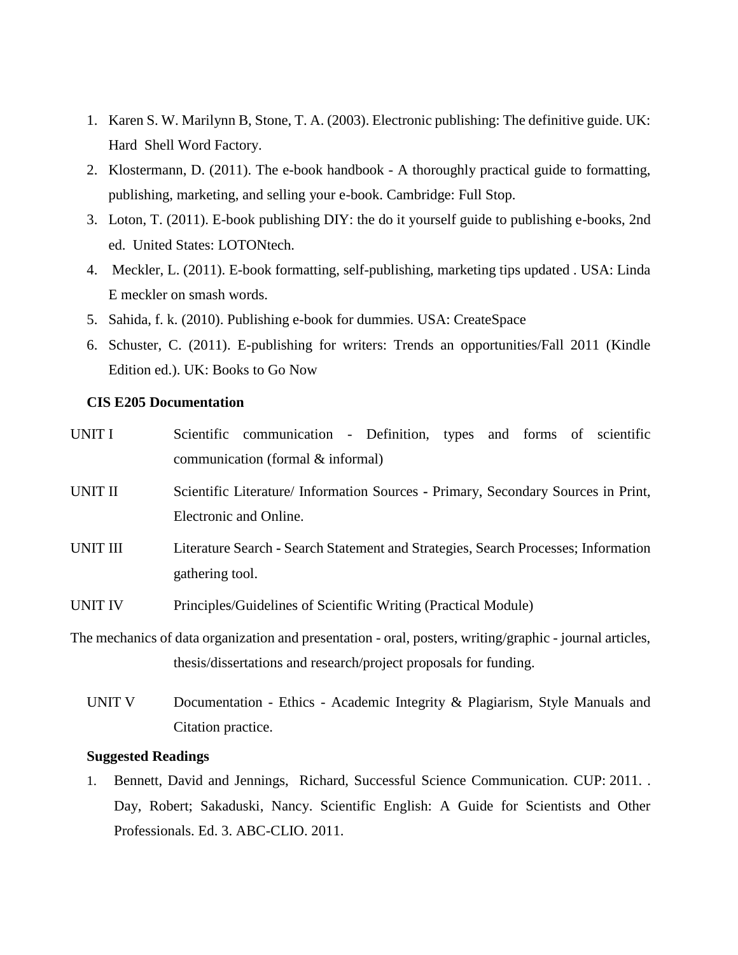- 1. Karen S. W. Marilynn B, Stone, T. A. (2003). Electronic publishing: The definitive guide. UK: Hard Shell Word Factory.
- 2. Klostermann, D. (2011). The e-book handbook A thoroughly practical guide to formatting, publishing, marketing, and selling your e-book. Cambridge: Full Stop.
- 3. Loton, T. (2011). E-book publishing DIY: the do it yourself guide to publishing e-books, 2nd ed. United States: LOTONtech.
- 4. Meckler, L. (2011). E-book formatting, self-publishing, marketing tips updated . USA: Linda E meckler on smash words.
- 5. Sahida, f. k. (2010). Publishing e-book for dummies. USA: CreateSpace
- 6. Schuster, C. (2011). E-publishing for writers: Trends an opportunities/Fall 2011 (Kindle Edition ed.). UK: Books to Go Now

#### **CIS E205 Documentation**

| UNIT I   |                        | Scientific communication - Definition, types and forms of scientific                                     |  |  |  |  |
|----------|------------------------|----------------------------------------------------------------------------------------------------------|--|--|--|--|
|          |                        | communication (formal & informal)                                                                        |  |  |  |  |
| UNIT II  |                        | Scientific Literature/ Information Sources - Primary, Secondary Sources in Print,                        |  |  |  |  |
|          | Electronic and Online. |                                                                                                          |  |  |  |  |
| UNIT III |                        | Literature Search - Search Statement and Strategies, Search Processes; Information                       |  |  |  |  |
|          | gathering tool.        |                                                                                                          |  |  |  |  |
| UNIT IV  |                        | Principles/Guidelines of Scientific Writing (Practical Module)                                           |  |  |  |  |
|          |                        | The mechanics of data organization and presentation - oral, posters, writing/graphic - journal articles, |  |  |  |  |
|          |                        | thesis/dissertations and research/project proposals for funding.                                         |  |  |  |  |

UNIT V Documentation - Ethics - Academic Integrity & Plagiarism, Style Manuals and Citation practice.

# **Suggested Readings**

1. Bennett, David and Jennings, Richard, Successful Science Communication. CUP: 2011. . Day, Robert; Sakaduski, Nancy. Scientific English: A Guide for Scientists and Other Professionals. Ed. 3. ABC-CLIO. 2011.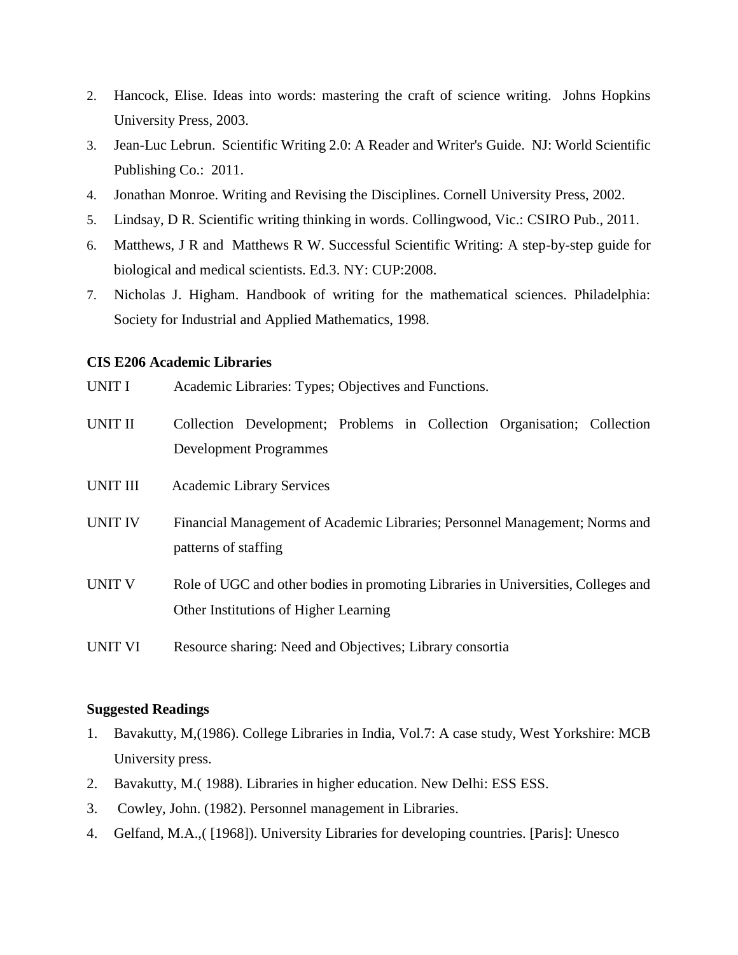- 2. Hancock, Elise. Ideas into words: mastering the craft of science writing. Johns Hopkins University Press, 2003.
- 3. Jean-Luc Lebrun. Scientific Writing 2.0: A Reader and Writer's Guide. NJ: World Scientific Publishing Co.: 2011.
- 4. Jonathan Monroe. Writing and Revising the Disciplines. Cornell University Press, 2002.
- 5. Lindsay, D R. Scientific writing thinking in words. Collingwood, Vic.: CSIRO Pub., 2011.
- 6. Matthews, J R and Matthews R W. Successful Scientific Writing: A step-by-step guide for biological and medical scientists. Ed.3. NY: CUP:2008.
- 7. Nicholas J. Higham. Handbook of writing for the mathematical sciences. Philadelphia: Society for Industrial and Applied Mathematics, 1998.

#### **CIS E206 Academic Libraries**

- UNIT I Academic Libraries: Types; Objectives and Functions.
- UNIT II Collection Development; Problems in Collection Organisation; Collection Development Programmes
- UNIT III Academic Library Services
- UNIT IV Financial Management of Academic Libraries; Personnel Management; Norms and patterns of staffing
- UNIT V Role of UGC and other bodies in promoting Libraries in Universities, Colleges and Other Institutions of Higher Learning
- UNIT VI Resource sharing: Need and Objectives; Library consortia

- 1. Bavakutty, M,(1986). College Libraries in India, Vol.7: A case study, West Yorkshire: MCB University press.
- 2. Bavakutty, M.( 1988). Libraries in higher education. New Delhi: ESS ESS.
- 3. Cowley, John. (1982). Personnel management in Libraries.
- 4. Gelfand, M.A.,( [1968]). University Libraries for developing countries. [Paris]: Unesco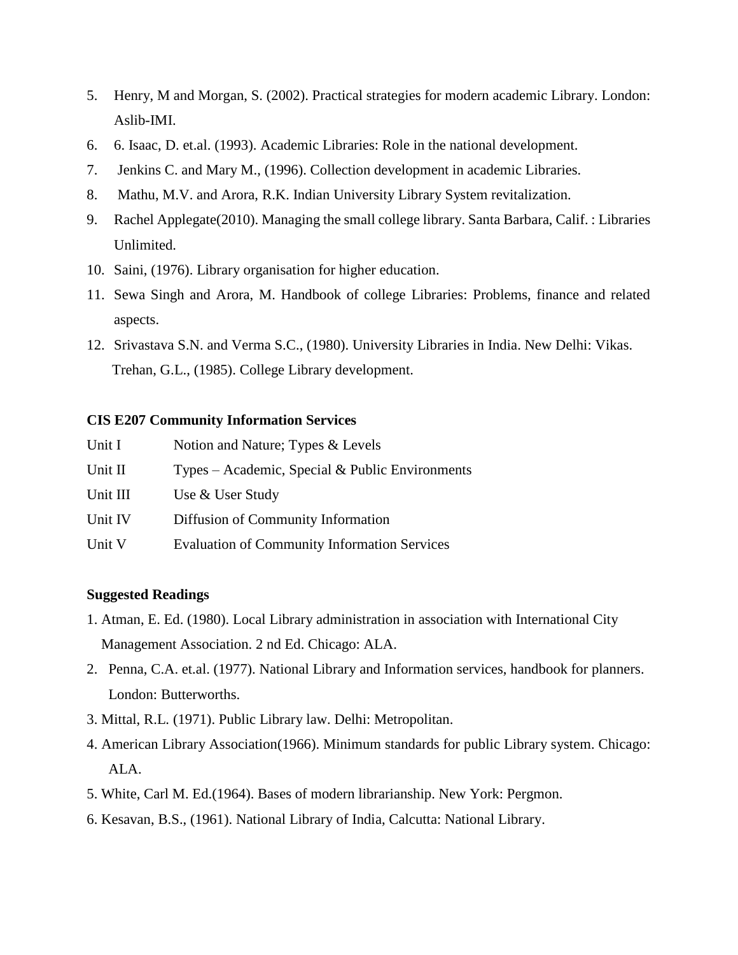- 5. Henry, M and Morgan, S. (2002). Practical strategies for modern academic Library. London: Aslib-IMI.
- 6. 6. Isaac, D. et.al. (1993). Academic Libraries: Role in the national development.
- 7. Jenkins C. and Mary M., (1996). Collection development in academic Libraries.
- 8. Mathu, M.V. and Arora, R.K. Indian University Library System revitalization.
- 9. Rachel Applegate(2010). Managing the small college library. Santa Barbara, Calif. : Libraries Unlimited.
- 10. Saini, (1976). Library organisation for higher education.
- 11. Sewa Singh and Arora, M. Handbook of college Libraries: Problems, finance and related aspects.
- 12. Srivastava S.N. and Verma S.C., (1980). University Libraries in India. New Delhi: Vikas. Trehan, G.L., (1985). College Library development.

## **CIS E207 Community Information Services**

| Unit I   | Notion and Nature; Types & Levels                   |
|----------|-----------------------------------------------------|
| Unit II  | Types – Academic, Special & Public Environments     |
| Unit III | Use & User Study                                    |
| Unit IV  | Diffusion of Community Information                  |
| Unit V   | <b>Evaluation of Community Information Services</b> |

- 1. Atman, E. Ed. (1980). Local Library administration in association with International City Management Association. 2 nd Ed. Chicago: ALA.
- 2. Penna, C.A. et.al. (1977). National Library and Information services, handbook for planners. London: Butterworths.
- 3. Mittal, R.L. (1971). Public Library law. Delhi: Metropolitan.
- 4. American Library Association(1966). Minimum standards for public Library system. Chicago: ALA.
- 5. White, Carl M. Ed.(1964). Bases of modern librarianship. New York: Pergmon.
- 6. Kesavan, B.S., (1961). National Library of India, Calcutta: National Library.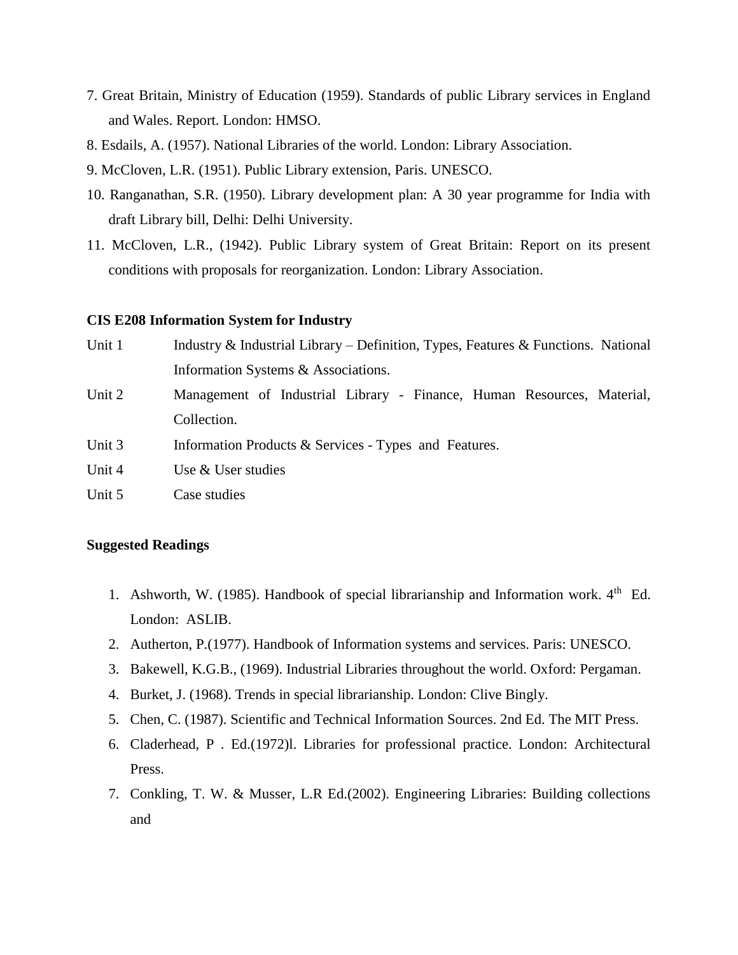- 7. Great Britain, Ministry of Education (1959). Standards of public Library services in England and Wales. Report. London: HMSO.
- 8. Esdails, A. (1957). National Libraries of the world. London: Library Association.
- 9. McCloven, L.R. (1951). Public Library extension, Paris. UNESCO.
- 10. Ranganathan, S.R. (1950). Library development plan: A 30 year programme for India with draft Library bill, Delhi: Delhi University.
- 11. McCloven, L.R., (1942). Public Library system of Great Britain: Report on its present conditions with proposals for reorganization. London: Library Association.

# **CIS E208 Information System for Industry**

| Unit 1 | Industry & Industrial Library – Definition, Types, Features & Functions. National |
|--------|-----------------------------------------------------------------------------------|
|        | Information Systems & Associations.                                               |
| Unit 2 | Management of Industrial Library - Finance, Human Resources, Material,            |
|        | Collection.                                                                       |
| Unit 3 | Information Products & Services - Types and Features.                             |
| Unit 4 | Use & User studies                                                                |
| Unit 5 | Case studies                                                                      |

- 1. Ashworth, W. (1985). Handbook of special librarianship and Information work.  $4<sup>th</sup>$  Ed. London: ASLIB.
- 2. Autherton, P.(1977). Handbook of Information systems and services. Paris: UNESCO.
- 3. Bakewell, K.G.B., (1969). Industrial Libraries throughout the world. Oxford: Pergaman.
- 4. Burket, J. (1968). Trends in special librarianship. London: Clive Bingly.
- 5. Chen, C. (1987). Scientific and Technical Information Sources. 2nd Ed. The MIT Press.
- 6. Claderhead, P . Ed.(1972)l. Libraries for professional practice. London: Architectural Press.
- 7. Conkling, T. W. & Musser, L.R Ed.(2002). Engineering Libraries: Building collections and